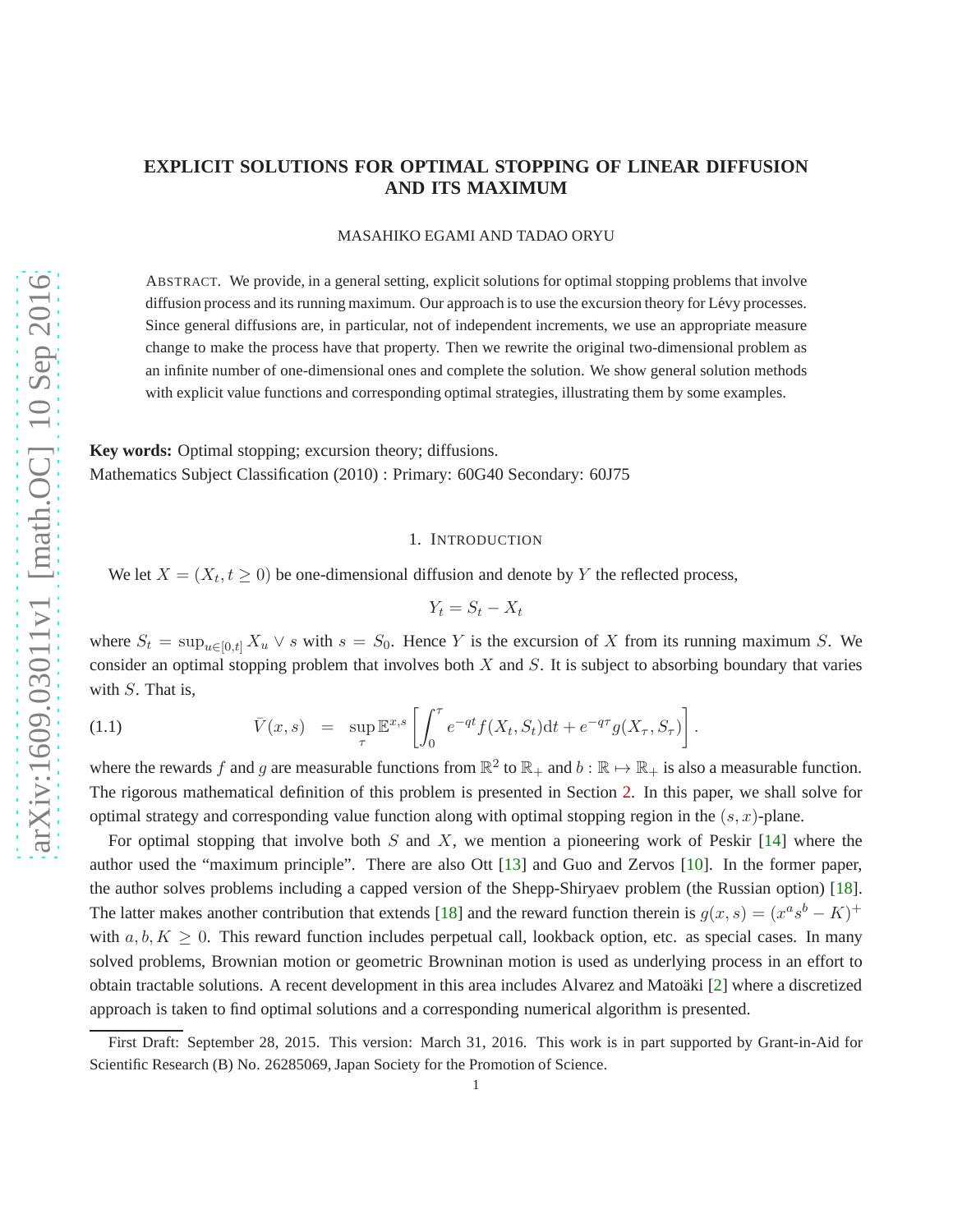# **EXPLICIT SOLUTIONS FOR OPTIMAL STOPPING OF LINEAR DIFFUSION AND ITS MAXIMUM**

MASAHIKO EGAMI AND TADAO ORYU

ABSTRACT. We provide, in a general setting, explicit solutions for optimal stopping problems that involve diffusion process and its running maximum. Our approach is to use the excursion theory for Lévy processes. Since general diffusions are, in particular, not of independent increments, we use an appropriate measure change to make the process have that property. Then we rewrite the original two-dimensional problem as an infinite number of one-dimensional ones and complete the solution. We show general solution methods with explicit value functions and corresponding optimal strategies, illustrating them by some examples.

**Key words:** Optimal stopping; excursion theory; diffusions. Mathematics Subject Classification (2010) : Primary: 60G40 Secondary: 60J75

### 1. INTRODUCTION

We let  $X = (X_t, t \ge 0)$  be one-dimensional diffusion and denote by Y the reflected process,

$$
Y_t = S_t - X_t
$$

where  $S_t = \sup_{u \in [0,t]} X_u \vee s$  with  $s = S_0$ . Hence Y is the excursion of X from its running maximum S. We consider an optimal stopping problem that involves both  $X$  and  $S$ . It is subject to absorbing boundary that varies with  $S$ . That is,

<span id="page-0-0"></span>(1.1) 
$$
\bar{V}(x,s) = \sup_{\tau} \mathbb{E}^{x,s} \left[ \int_0^{\tau} e^{-qt} f(X_t, S_t) dt + e^{-q\tau} g(X_{\tau}, S_{\tau}) \right].
$$

where the rewards f and g are measurable functions from  $\mathbb{R}^2$  to  $\mathbb{R}_+$  and  $b : \mathbb{R} \to \mathbb{R}_+$  is also a measurable function. The rigorous mathematical definition of this problem is presented in Section [2.](#page-1-0) In this paper, we shall solve for optimal strategy and corresponding value function along with optimal stopping region in the  $(s, x)$ -plane.

For optimal stopping that involve both S and X, we mention a pioneering work of Peskir  $[14]$  where the author used the "maximum principle". There are also Ott [\[13\]](#page-19-1) and Guo and Zervos [\[10\]](#page-19-2). In the former paper, the author solves problems including a capped version of the Shepp-Shiryaev problem (the Russian option) [\[18\]](#page-19-3). The latter makes another contribution that extends [\[18\]](#page-19-3) and the reward function therein is  $g(x, s) = (x^a s^b - K)^+$ with  $a, b, K \geq 0$ . This reward function includes perpetual call, lookback option, etc. as special cases. In many solved problems, Brownian motion or geometric Browninan motion is used as underlying process in an effort to obtain tractable solutions. A recent development in this area includes Alvarez and Matoäki [\[2\]](#page-18-0) where a discretized approach is taken to find optimal solutions and a corresponding numerical algorithm is presented.

First Draft: September 28, 2015. This version: March 31, 2016. This work is in part supported by Grant-in-Aid for Scientific Research (B) No. 26285069, Japan Society for the Promotion of Science.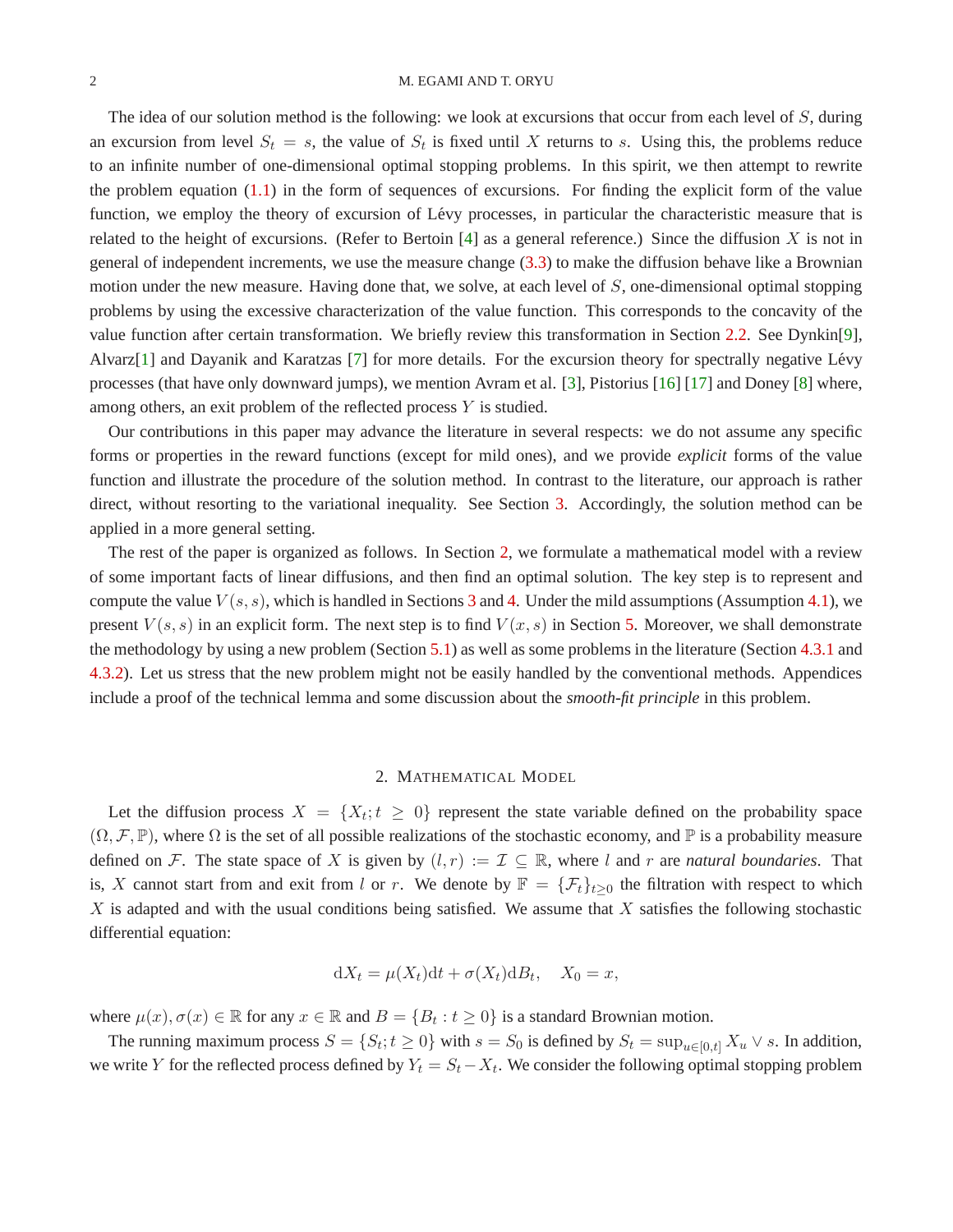#### 2 M. EGAMI AND T. ORYU

The idea of our solution method is the following: we look at excursions that occur from each level of S, during an excursion from level  $S_t = s$ , the value of  $S_t$  is fixed until X returns to s. Using this, the problems reduce to an infinite number of one-dimensional optimal stopping problems. In this spirit, we then attempt to rewrite the problem equation [\(1.1\)](#page-0-0) in the form of sequences of excursions. For finding the explicit form of the value function, we employ the theory of excursion of Lévy processes, in particular the characteristic measure that is related to the height of excursions. (Refer to Bertoin  $[4]$  as a general reference.) Since the diffusion X is not in general of independent increments, we use the measure change [\(3.3\)](#page-5-0) to make the diffusion behave like a Brownian motion under the new measure. Having done that, we solve, at each level of S, one-dimensional optimal stopping problems by using the excessive characterization of the value function. This corresponds to the concavity of the value function after certain transformation. We briefly review this transformation in Section [2.2.](#page-3-0) See Dynkin[\[9\]](#page-19-4), Alvarz[\[1\]](#page-18-2) and Dayanik and Karatzas [\[7\]](#page-18-3) for more details. For the excursion theory for spectrally negative Lévy processes (that have only downward jumps), we mention Avram et al. [\[3\]](#page-18-4), Pistorius [\[16\]](#page-19-5) [\[17\]](#page-19-6) and Doney [\[8\]](#page-19-7) where, among others, an exit problem of the reflected process Y is studied.

Our contributions in this paper may advance the literature in several respects: we do not assume any specific forms or properties in the reward functions (except for mild ones), and we provide *explicit* forms of the value function and illustrate the procedure of the solution method. In contrast to the literature, our approach is rather direct, without resorting to the variational inequality. See Section [3.](#page-4-0) Accordingly, the solution method can be applied in a more general setting.

The rest of the paper is organized as follows. In Section [2,](#page-1-0) we formulate a mathematical model with a review of some important facts of linear diffusions, and then find an optimal solution. The key step is to represent and compute the value  $V(s, s)$ , which is handled in Sections [3](#page-4-0) and [4.](#page-6-0) Under the mild assumptions (Assumption [4.1\)](#page-7-0), we present  $V(s, s)$  in an explicit form. The next step is to find  $V(x, s)$  in Section [5.](#page-12-0) Moreover, we shall demonstrate the methodology by using a new problem (Section [5.1\)](#page-13-0) as well as some problems in the literature (Section [4.3.1](#page-10-0) and [4.3.2\)](#page-11-0). Let us stress that the new problem might not be easily handled by the conventional methods. Appendices include a proof of the technical lemma and some discussion about the *smooth-fit principle* in this problem.

#### 2. MATHEMATICAL MODEL

<span id="page-1-0"></span>Let the diffusion process  $X = \{X_t; t \geq 0\}$  represent the state variable defined on the probability space  $(\Omega, \mathcal{F}, \mathbb{P})$ , where  $\Omega$  is the set of all possible realizations of the stochastic economy, and  $\mathbb P$  is a probability measure defined on F. The state space of X is given by  $(l, r) := \mathcal{I} \subseteq \mathbb{R}$ , where l and r are *natural boundaries*. That is, X cannot start from and exit from l or r. We denote by  $\mathbb{F} = {\{\mathcal{F}_t\}}_{t\geq0}$  the filtration with respect to which  $X$  is adapted and with the usual conditions being satisfied. We assume that  $X$  satisfies the following stochastic differential equation:

$$
dX_t = \mu(X_t)dt + \sigma(X_t)dB_t, \quad X_0 = x,
$$

where  $\mu(x), \sigma(x) \in \mathbb{R}$  for any  $x \in \mathbb{R}$  and  $B = \{B_t : t \ge 0\}$  is a standard Brownian motion.

The running maximum process  $S = \{S_t; t \ge 0\}$  with  $s = S_0$  is defined by  $S_t = \sup_{u \in [0,t]} X_u \vee s$ . In addition, we write Y for the reflected process defined by  $Y_t = S_t - X_t$ . We consider the following optimal stopping problem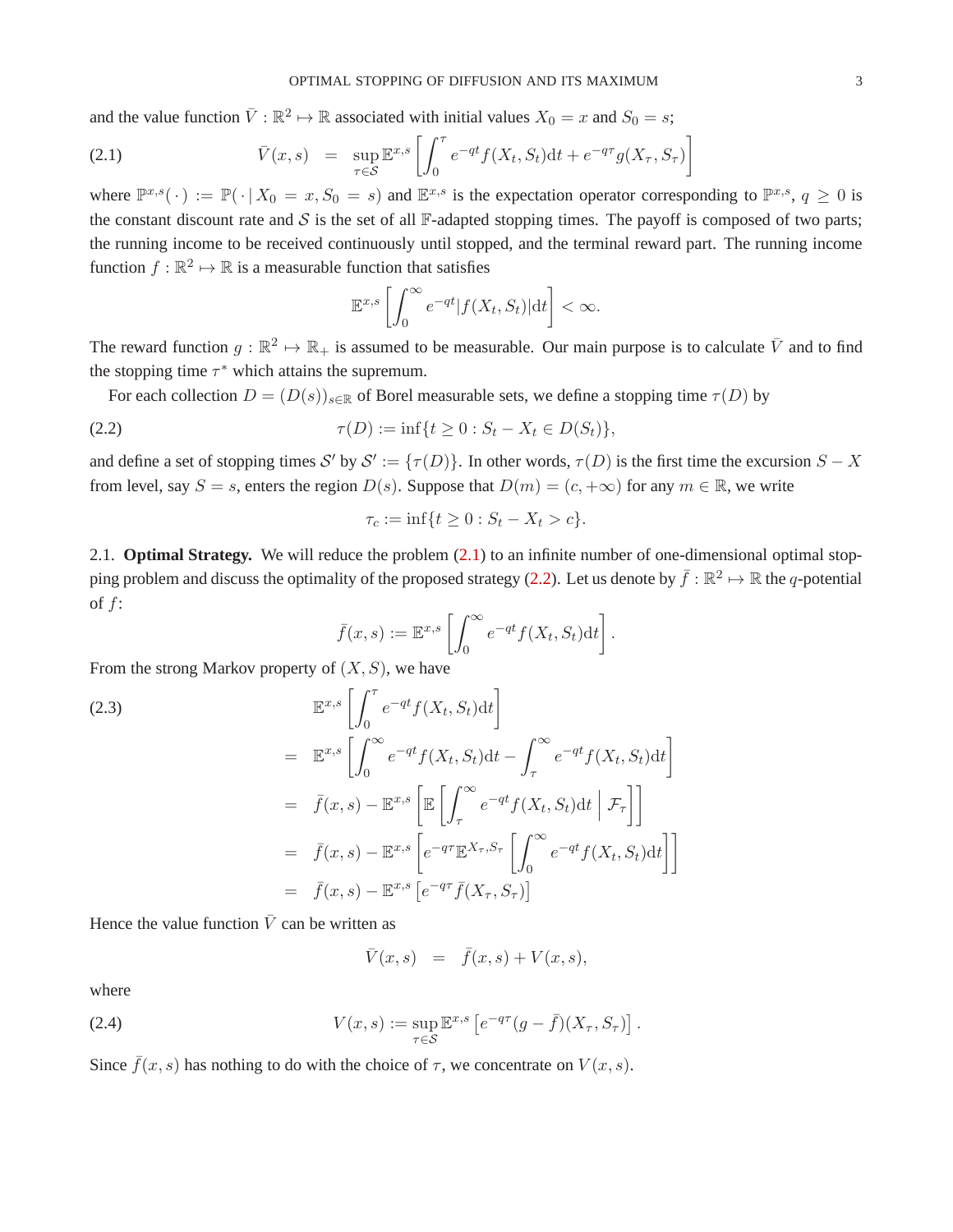and the value function  $\bar{V} : \mathbb{R}^2 \to \mathbb{R}$  associated with initial values  $X_0 = x$  and  $S_0 = s$ ;

<span id="page-2-0"></span>(2.1) 
$$
\overline{V}(x,s) = \sup_{\tau \in S} \mathbb{E}^{x,s} \left[ \int_0^{\tau} e^{-qt} f(X_t, S_t) dt + e^{-q\tau} g(X_{\tau}, S_{\tau}) \right]
$$

where  $\mathbb{P}^{x,s}(\cdot) := \mathbb{P}(\cdot | X_0 = x, S_0 = s)$  and  $\mathbb{E}^{x,s}$  is the expectation operator corresponding to  $\mathbb{P}^{x,s}$ ,  $q \ge 0$  is the constant discount rate and  $S$  is the set of all  $\mathbb F$ -adapted stopping times. The payoff is composed of two parts; the running income to be received continuously until stopped, and the terminal reward part. The running income function  $f : \mathbb{R}^2 \mapsto \mathbb{R}$  is a measurable function that satisfies

$$
\mathbb{E}^{x,s}\left[\int_0^\infty e^{-qt}|f(X_t, S_t)|\mathrm{d}t\right] < \infty.
$$

The reward function  $g : \mathbb{R}^2 \to \mathbb{R}_+$  is assumed to be measurable. Our main purpose is to calculate  $\bar{V}$  and to find the stopping time  $\tau^*$  which attains the supremum.

For each collection  $D = (D(s))_{s \in \mathbb{R}}$  of Borel measurable sets, we define a stopping time  $\tau(D)$  by

(2.2) 
$$
\tau(D) := \inf \{ t \ge 0 : S_t - X_t \in D(S_t) \},
$$

and define a set of stopping times S' by  $S' := \{\tau(D)\}\$ . In other words,  $\tau(D)$  is the first time the excursion  $S - X$ from level, say  $S = s$ , enters the region  $D(s)$ . Suppose that  $D(m) = (c, +\infty)$  for any  $m \in \mathbb{R}$ , we write

<span id="page-2-1"></span>
$$
\tau_c := \inf\{t \ge 0 : S_t - X_t > c\}.
$$

2.1. **Optimal Strategy.** We will reduce the problem [\(2.1\)](#page-2-0) to an infinite number of one-dimensional optimal stop-ping problem and discuss the optimality of the proposed strategy [\(2.2\)](#page-2-1). Let us denote by  $\bar{f}: \mathbb{R}^2 \mapsto \mathbb{R}$  the  $q$ -potential of f:

$$
\bar{f}(x,s) := \mathbb{E}^{x,s} \left[ \int_0^\infty e^{-qt} f(X_t, S_t) dt \right].
$$

From the strong Markov property of  $(X, S)$ , we have

(2.3)  
\n
$$
\mathbb{E}^{x,s} \left[ \int_0^{\tau} e^{-qt} f(X_t, S_t) dt \right]
$$
\n
$$
= \mathbb{E}^{x,s} \left[ \int_0^{\infty} e^{-qt} f(X_t, S_t) dt - \int_{\tau}^{\infty} e^{-qt} f(X_t, S_t) dt \right]
$$
\n
$$
= \bar{f}(x, s) - \mathbb{E}^{x,s} \left[ \mathbb{E} \left[ \int_{\tau}^{\infty} e^{-qt} f(X_t, S_t) dt \mid \mathcal{F}_{\tau} \right] \right]
$$
\n
$$
= \bar{f}(x, s) - \mathbb{E}^{x,s} \left[ e^{-q\tau} \mathbb{E}^{X_{\tau}, S_{\tau}} \left[ \int_0^{\infty} e^{-qt} f(X_t, S_t) dt \right] \right]
$$
\n
$$
= \bar{f}(x, s) - \mathbb{E}^{x,s} \left[ e^{-q\tau} \bar{f}(X_{\tau}, S_{\tau}) \right]
$$

Hence the value function  $\overline{V}$  can be written as

$$
\bar V(x,s)\ =\ \bar f(x,s)+V(x,s),
$$

where

(2.4) 
$$
V(x,s) := \sup_{\tau \in \mathcal{S}} \mathbb{E}^{x,s} \left[ e^{-q\tau} (g - \bar{f})(X_{\tau}, S_{\tau}) \right].
$$

Since  $\bar{f}(x, s)$  has nothing to do with the choice of  $\tau$ , we concentrate on  $V(x, s)$ .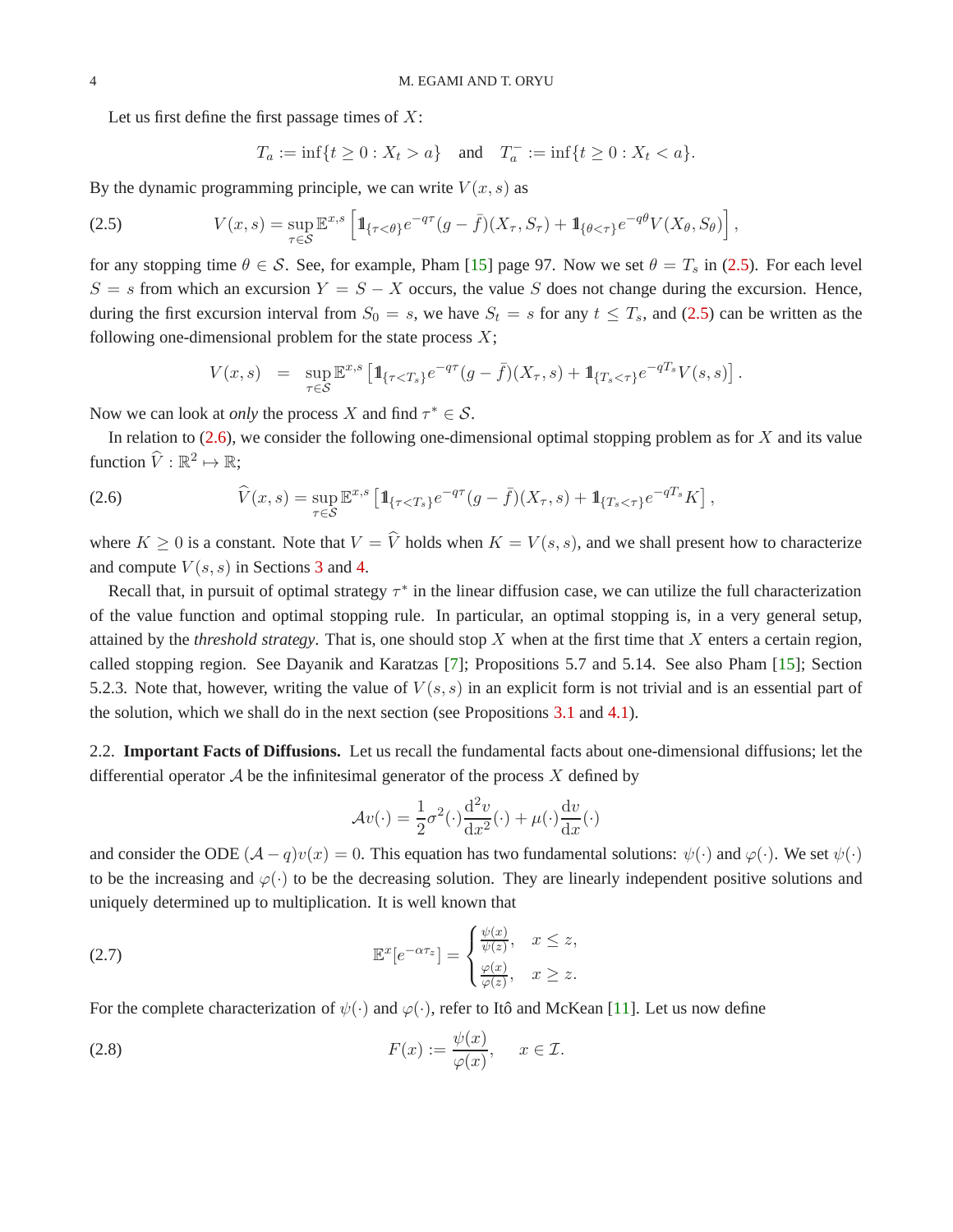Let us first define the first passage times of  $X$ :

$$
T_a := \inf\{t \ge 0 : X_t > a\}
$$
 and  $T_a^- := \inf\{t \ge 0 : X_t < a\}.$ 

By the dynamic programming principle, we can write  $V(x, s)$  as

<span id="page-3-1"></span>(2.5) 
$$
V(x,s) = \sup_{\tau \in S} \mathbb{E}^{x,s} \left[ 1\!\!1_{\{\tau < \theta\}} e^{-q\tau} (g - \bar{f})(X_\tau, S_\tau) + 1\!\!1_{\{\theta < \tau\}} e^{-q\theta} V(X_\theta, S_\theta) \right],
$$

for any stopping time  $\theta \in \mathcal{S}$ . See, for example, Pham [\[15\]](#page-19-8) page 97. Now we set  $\theta = T_s$  in [\(2.5\)](#page-3-1). For each level  $S = s$  from which an excursion  $Y = S - X$  occurs, the value S does not change during the excursion. Hence, during the first excursion interval from  $S_0 = s$ , we have  $S_t = s$  for any  $t \leq T_s$ , and [\(2.5\)](#page-3-1) can be written as the following one-dimensional problem for the state process  $X$ ;

$$
V(x,s) = \sup_{\tau \in S} \mathbb{E}^{x,s} \left[ 1\!\!1_{\{\tau < T_s\}} e^{-q\tau} (g - \bar{f})(X_\tau, s) + 1\!\!1_{\{T_s < \tau\}} e^{-qT_s} V(s, s) \right].
$$

Now we can look at *only* the process X and find  $\tau^* \in S$ .

In relation to  $(2.6)$ , we consider the following one-dimensional optimal stopping problem as for X and its value function  $\widehat{V} : \mathbb{R}^2 \mapsto \mathbb{R}$ ;

<span id="page-3-2"></span>(2.6) 
$$
\widehat{V}(x,s) = \sup_{\tau \in \mathcal{S}} \mathbb{E}^{x,s} \left[ 1\!\!1_{\{\tau < T_s\}} e^{-q\tau} (g - \bar{f})(X_\tau, s) + 1\!\!1_{\{T_s < \tau\}} e^{-q\tau_s} K \right],
$$

where  $K \geq 0$  is a constant. Note that  $V = \hat{V}$  holds when  $K = V(s, s)$ , and we shall present how to characterize and compute  $V(s, s)$  in Sections [3](#page-4-0) and [4.](#page-6-0)

Recall that, in pursuit of optimal strategy  $\tau^*$  in the linear diffusion case, we can utilize the full characterization of the value function and optimal stopping rule. In particular, an optimal stopping is, in a very general setup, attained by the *threshold strategy*. That is, one should stop X when at the first time that X enters a certain region, called stopping region. See Dayanik and Karatzas [\[7\]](#page-18-3); Propositions 5.7 and 5.14. See also Pham [\[15\]](#page-19-8); Section 5.2.3. Note that, however, writing the value of  $V(s, s)$  in an explicit form is not trivial and is an essential part of the solution, which we shall do in the next section (see Propositions [3.1](#page-6-1) and [4.1\)](#page-8-0).

<span id="page-3-0"></span>2.2. **Important Facts of Diffusions.** Let us recall the fundamental facts about one-dimensional diffusions; let the differential operator  $A$  be the infinitesimal generator of the process  $X$  defined by

$$
\mathcal{A}v(\cdot) = \frac{1}{2}\sigma^2(\cdot)\frac{d^2v}{dx^2}(\cdot) + \mu(\cdot)\frac{dv}{dx}(\cdot)
$$

and consider the ODE  $(A - q)v(x) = 0$ . This equation has two fundamental solutions:  $\psi(\cdot)$  and  $\varphi(\cdot)$ . We set  $\psi(\cdot)$ to be the increasing and  $\varphi(\cdot)$  to be the decreasing solution. They are linearly independent positive solutions and uniquely determined up to multiplication. It is well known that

<span id="page-3-4"></span>(2.7) 
$$
\mathbb{E}^{x}[e^{-\alpha \tau_{z}}] = \begin{cases} \frac{\psi(x)}{\psi(z)}, & x \leq z, \\ \frac{\varphi(x)}{\varphi(z)}, & x \geq z. \end{cases}
$$

For the complete characterization of  $\psi(\cdot)$  and  $\varphi(\cdot)$ , refer to Itô and McKean [\[11\]](#page-19-9). Let us now define

<span id="page-3-3"></span>(2.8) 
$$
F(x) := \frac{\psi(x)}{\varphi(x)}, \quad x \in \mathcal{I}.
$$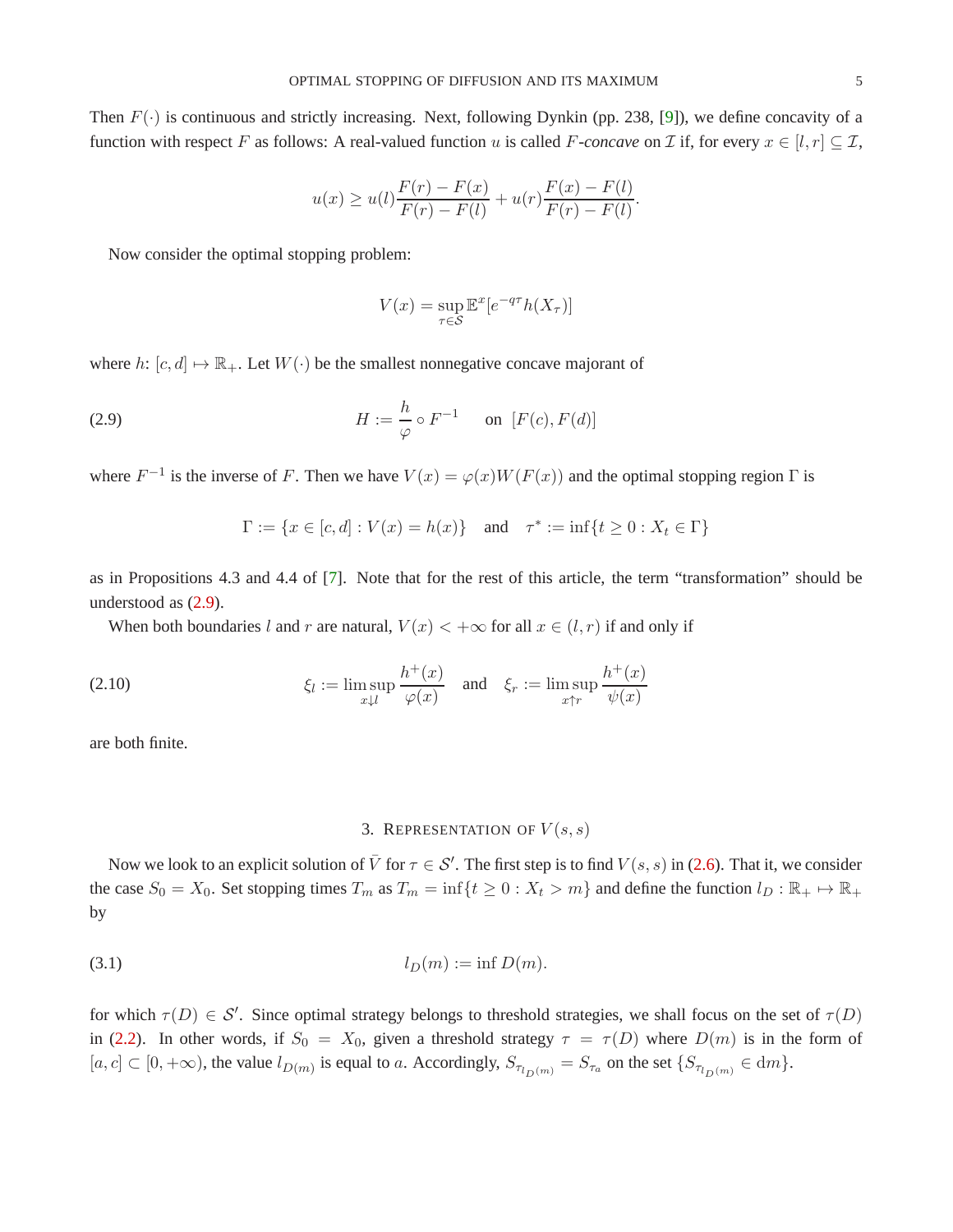Then  $F(\cdot)$  is continuous and strictly increasing. Next, following Dynkin (pp. 238, [\[9\]](#page-19-4)), we define concavity of a function with respect F as follows: A real-valued function u is called F-concave on I if, for every  $x \in [l, r] \subseteq \mathcal{I}$ ,

$$
u(x) \ge u(l) \frac{F(r) - F(x)}{F(r) - F(l)} + u(r) \frac{F(x) - F(l)}{F(r) - F(l)}.
$$

Now consider the optimal stopping problem:

<span id="page-4-1"></span>
$$
V(x) = \sup_{\tau \in \mathcal{S}} \mathbb{E}^x[e^{-q\tau}h(X_{\tau})]
$$

where h:  $[c, d] \mapsto \mathbb{R}_+$ . Let  $W(\cdot)$  be the smallest nonnegative concave majorant of

(2.9) 
$$
H := \frac{h}{\varphi} \circ F^{-1} \quad \text{on } [F(c), F(d)]
$$

where  $F^{-1}$  is the inverse of F. Then we have  $V(x) = \varphi(x)W(F(x))$  and the optimal stopping region  $\Gamma$  is

$$
\Gamma := \{ x \in [c, d] : V(x) = h(x) \} \text{ and } \tau^* := \inf \{ t \ge 0 : X_t \in \Gamma \}
$$

as in Propositions 4.3 and 4.4 of [\[7\]](#page-18-3). Note that for the rest of this article, the term "transformation" should be understood as [\(2.9\)](#page-4-1).

When both boundaries l and r are natural,  $V(x) < +\infty$  for all  $x \in (l, r)$  if and only if

<span id="page-4-2"></span>(2.10) 
$$
\xi_l := \limsup_{x \downarrow l} \frac{h^+(x)}{\varphi(x)} \quad \text{and} \quad \xi_r := \limsup_{x \uparrow r} \frac{h^+(x)}{\psi(x)}
$$

<span id="page-4-0"></span>are both finite.

# <span id="page-4-3"></span>3. REPRESENTATION OF  $V(s,s)$

Now we look to an explicit solution of  $\bar{V}$  for  $\tau \in S'$ . The first step is to find  $V(s, s)$  in [\(2.6\)](#page-3-2). That it, we consider the case  $S_0 = X_0$ . Set stopping times  $T_m$  as  $T_m = \inf\{t \geq 0 : X_t > m\}$  and define the function  $l_D : \mathbb{R}_+ \mapsto \mathbb{R}_+$ by

$$
(3.1) \t\t\t l_D(m) := \inf D(m).
$$

for which  $\tau(D) \in S'$ . Since optimal strategy belongs to threshold strategies, we shall focus on the set of  $\tau(D)$ in [\(2.2\)](#page-2-1). In other words, if  $S_0 = X_0$ , given a threshold strategy  $\tau = \tau(D)$  where  $D(m)$  is in the form of  $[a, c] \subset [0, +\infty)$ , the value  $l_{D(m)}$  is equal to a. Accordingly,  $S_{\tau_{l_D(m)}} = S_{\tau_a}$  on the set  $\{S_{\tau_{l_D(m)}} \in dm\}$ .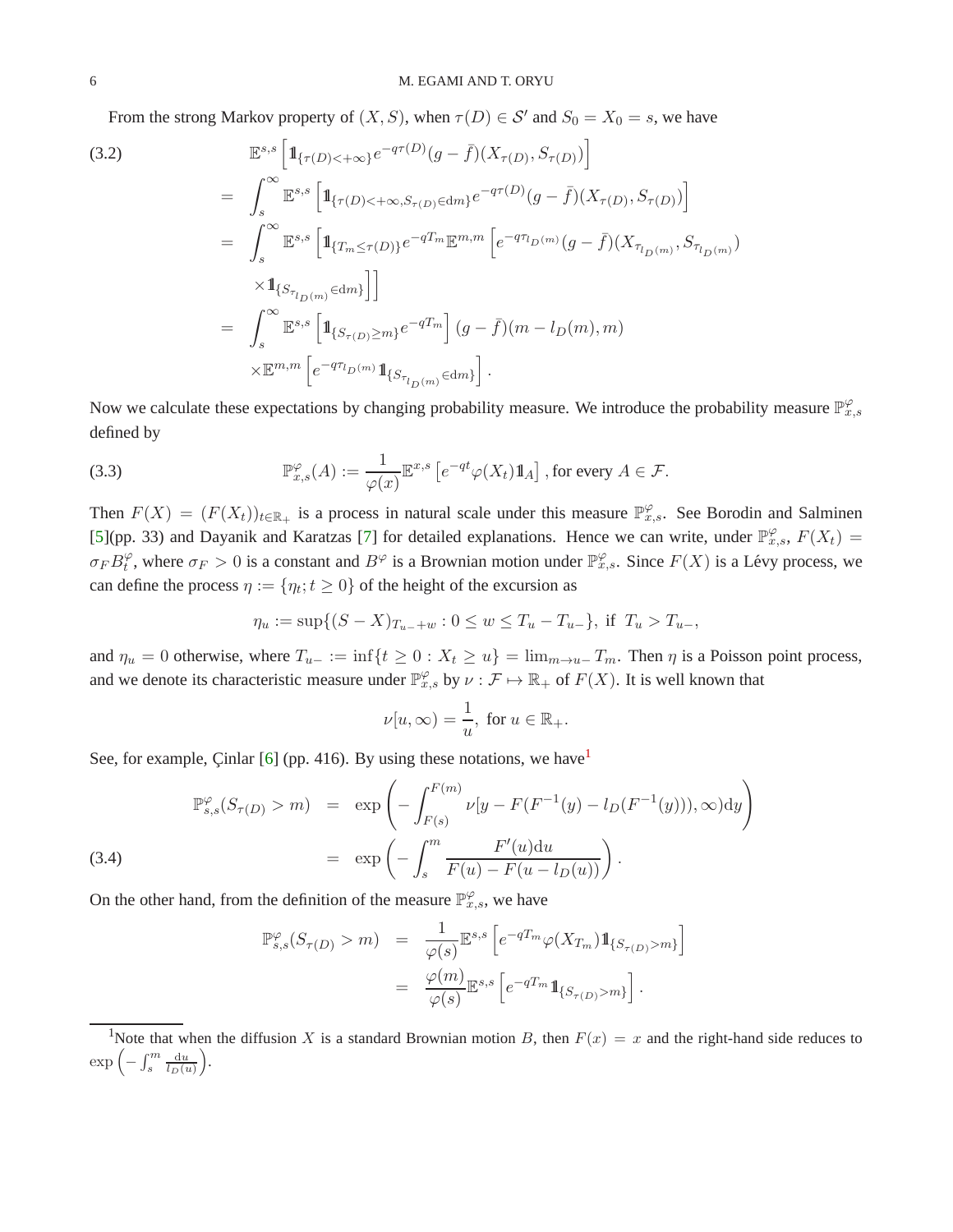From the strong Markov property of  $(X, S)$ , when  $\tau(D) \in S'$  and  $S_0 = X_0 = s$ , we have

(3.2)  
\n
$$
\mathbb{E}^{s,s} \left[ \mathbb{1}_{\{\tau(D) < +\infty\}} e^{-q\tau(D)} (g - \bar{f})(X_{\tau(D)}, S_{\tau(D)}) \right]
$$
\n
$$
= \int_{s}^{\infty} \mathbb{E}^{s,s} \left[ \mathbb{1}_{\{\tau(D) < +\infty, S_{\tau(D)} \in dm\}} e^{-q\tau(D)} (g - \bar{f})(X_{\tau(D)}, S_{\tau(D)}) \right]
$$
\n
$$
= \int_{s}^{\infty} \mathbb{E}^{s,s} \left[ \mathbb{1}_{\{T_m \leq \tau(D)\}} e^{-qT_m} \mathbb{E}^{m,m} \left[ e^{-q\tau_{D}(m)} (g - \bar{f})(X_{\tau_{D}(m)}, S_{\tau_{D}(m)}) \right] \right]
$$
\n
$$
\times \mathbb{1}_{\{S_{\tau_{D}(m)} \in dm\}} \right]
$$
\n
$$
= \int_{s}^{\infty} \mathbb{E}^{s,s} \left[ \mathbb{1}_{\{S_{\tau(D) \geq m\}} e^{-qT_m} \right] (g - \bar{f})(m - l_D(m), m)
$$
\n
$$
\times \mathbb{E}^{m,m} \left[ e^{-q\tau_{D}(m)} \mathbb{1}_{\{S_{\tau_{D}(m)} \in dm\}} \right].
$$

Now we calculate these expectations by changing probability measure. We introduce the probability measure  $\mathbb{P}_{x,s}^{\varphi}$ defined by

(3.3) 
$$
\mathbb{P}_{x,s}^{\varphi}(A) := \frac{1}{\varphi(x)} \mathbb{E}^{x,s} \left[ e^{-qt} \varphi(X_t) 1\!\!1_A \right], \text{ for every } A \in \mathcal{F}.
$$

Then  $F(X) = (F(X_t))_{t \in \mathbb{R}_+}$  is a process in natural scale under this measure  $\mathbb{P}_{x,s}^{\varphi}$ . See Borodin and Salminen [\[5\]](#page-18-5)(pp. 33) and Dayanik and Karatzas [\[7\]](#page-18-3) for detailed explanations. Hence we can write, under  $\mathbb{P}_{x,s}^{\varphi}$ ,  $F(X_t)$  =  $\sigma_F B_t^{\varphi}$  $_t^{\varphi}$ , where  $\sigma_F > 0$  is a constant and  $B^{\varphi}$  is a Brownian motion under  $\mathbb{P}_{x,s}^{\varphi}$ . Since  $F(X)$  is a Lévy process, we can define the process  $\eta := \{\eta_t; t \geq 0\}$  of the height of the excursion as

<span id="page-5-0"></span>
$$
\eta_u := \sup\{(S - X)_{T_{u-}+w} : 0 \le w \le T_u - T_{u-}\}, \text{ if } T_u > T_{u-},
$$

and  $\eta_u = 0$  otherwise, where  $T_{u-} := \inf\{t \geq 0 : X_t \geq u\} = \lim_{m \to u-} T_m$ . Then  $\eta$  is a Poisson point process, and we denote its characteristic measure under  $\mathbb{P}_{x,s}^{\varphi}$  by  $\nu : \mathcal{F} \mapsto \mathbb{R}_+$  of  $F(X)$ . It is well known that

$$
\nu[u,\infty) = \frac{1}{u}, \text{ for } u \in \mathbb{R}_+.
$$

See, for example, Cinlar [\[6\]](#page-18-6) (pp. 4[1](#page-5-1)6). By using these notations, we have

<span id="page-5-2"></span>(3.4)  
\n
$$
\mathbb{P}_{s,s}^{\varphi}(S_{\tau(D)} > m) = \exp\left(-\int_{F(s)}^{F(m)} \nu[y - F(F^{-1}(y) - l_D(F^{-1}(y))), \infty) dy\right)
$$
\n
$$
= \exp\left(-\int_{s}^{m} \frac{F'(u) du}{F(u) - F(u - l_D(u))}\right).
$$

On the other hand, from the definition of the measure  $\mathbb{P}_{x,s}^{\varphi}$ , we have

$$
\mathbb{P}_{s,s}^{\varphi}(S_{\tau(D)} > m) = \frac{1}{\varphi(s)} \mathbb{E}^{s,s} \left[ e^{-qT_m} \varphi(X_{T_m}) \mathbb{1}_{\{S_{\tau(D)} > m\}} \right]
$$

$$
= \frac{\varphi(m)}{\varphi(s)} \mathbb{E}^{s,s} \left[ e^{-qT_m} \mathbb{1}_{\{S_{\tau(D)} > m\}} \right].
$$

<span id="page-5-1"></span><sup>&</sup>lt;sup>1</sup>Note that when the diffusion X is a standard Brownian motion B, then  $F(x) = x$  and the right-hand side reduces to  $\exp\left(-\int_s^m \frac{\mathrm{d}u}{l_D(u)}\right)$ .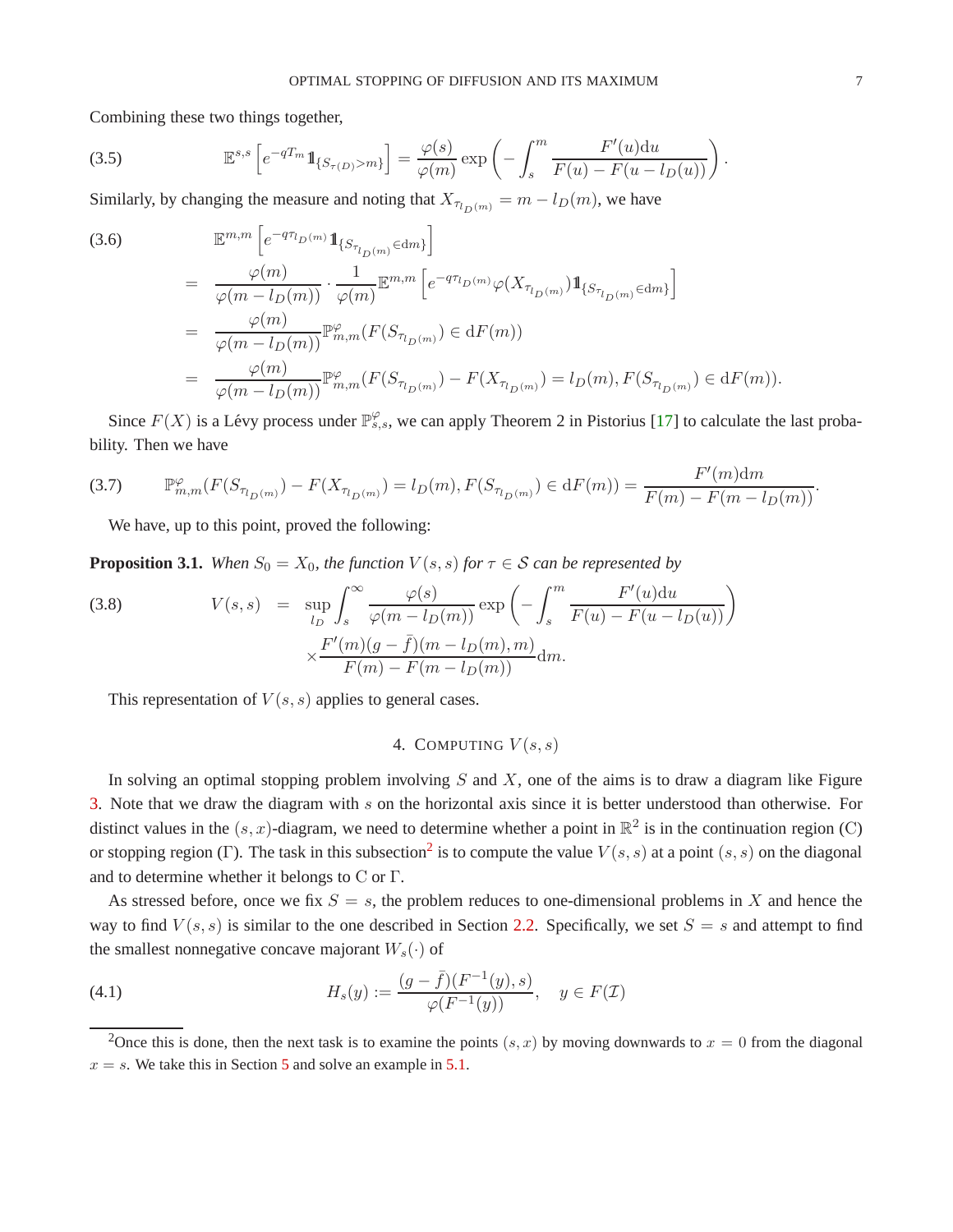Combining these two things together,

$$
(3.5) \quad \mathbb{E}^{s,s}\left[e^{-qT_m}\mathbb{1}_{\{S_{\tau(D)} > m\}}\right] = \frac{\varphi(s)}{\varphi(m)}\exp\left(-\int_s^m \frac{F'(u)du}{F(u) - F(u - l_D(u))}\right).
$$

Similarly, by changing the measure and noting that  $X_{\tau_{l_D}(m)} = m - l_D(m)$ , we have

(3.6)  
\n
$$
\mathbb{E}^{m,m} \left[ e^{-q\tau_{l_D(m)}} 1\!\!1_{\{S_{\tau_{l_D(m)}} \in dm\}} \right]
$$
\n
$$
= \frac{\varphi(m)}{\varphi(m - l_D(m))} \cdot \frac{1}{\varphi(m)} \mathbb{E}^{m,m} \left[ e^{-q\tau_{l_D(m)}} \varphi(X_{\tau_{l_D(m)}}) 1\!\!1_{\{S_{\tau_{l_D(m)}} \in dm\}} \right]
$$
\n
$$
= \frac{\varphi(m)}{\varphi(m - l_D(m))} \mathbb{P}^{\varphi}_{m,m}(F(S_{\tau_{l_D(m)}}) \in dF(m))
$$
\n
$$
= \frac{\varphi(m)}{\varphi(m - l_D(m))} \mathbb{P}^{\varphi}_{m,m}(F(S_{\tau_{l_D(m)}}) - F(X_{\tau_{l_D(m)}}) = l_D(m), F(S_{\tau_{l_D(m)}}) \in dF(m)).
$$

Since  $F(X)$  is a Lévy process under  $\mathbb{P}^{\varphi}_{s,s}$ , we can apply Theorem 2 in Pistorius [\[17\]](#page-19-6) to calculate the last probability. Then we have

$$
(3.7) \qquad \mathbb{P}_{m,m}^{\varphi}(F(S_{\tau_{l_D(m)}})-F(X_{\tau_{l_D(m)}})=l_D(m), F(S_{\tau_{l_D(m)}})\in \mathrm{d}F(m))=\frac{F'(m)\mathrm{d}m}{F(m)-F(m-l_D(m))}.
$$

<span id="page-6-5"></span>We have, up to this point, proved the following:

<span id="page-6-1"></span>**Proposition 3.1.** *When*  $S_0 = X_0$ *, the function*  $V(s, s)$  *for*  $\tau \in S$  *can be represented by* 

<span id="page-6-4"></span>(3.8) 
$$
V(s,s) = \sup_{l_D} \int_s^{\infty} \frac{\varphi(s)}{\varphi(m-l_D(m))} \exp\left(-\int_s^m \frac{F'(u)du}{F(u) - F(u-l_D(u))}\right) \times \frac{F'(m)(g-\bar{f})(m-l_D(m),m)}{F(m) - F(m-l_D(m))} dm.
$$

<span id="page-6-0"></span>This representation of  $V(s, s)$  applies to general cases.

# 4. COMPUTING  $V(s,s)$

In solving an optimal stopping problem involving  $S$  and  $X$ , one of the aims is to draw a diagram like Figure [3.](#page-14-0) Note that we draw the diagram with s on the horizontal axis since it is better understood than otherwise. For distinct values in the  $(s, x)$ -diagram, we need to determine whether a point in  $\mathbb{R}^2$  is in the continuation region (C) or stopping region (Γ). The task in this subsection<sup>[2](#page-6-2)</sup> is to compute the value  $V(s, s)$  at a point  $(s, s)$  on the diagonal and to determine whether it belongs to C or Γ.

As stressed before, once we fix  $S = s$ , the problem reduces to one-dimensional problems in X and hence the way to find  $V(s, s)$  is similar to the one described in Section [2.2.](#page-3-0) Specifically, we set  $S = s$  and attempt to find the smallest nonnegative concave majorant  $W_s(\cdot)$  of

<span id="page-6-3"></span>(4.1) 
$$
H_s(y) := \frac{(g - \bar{f})(F^{-1}(y), s)}{\varphi(F^{-1}(y))}, \quad y \in F(\mathcal{I})
$$

 $\rightarrow$   $\rightarrow$   $\rightarrow$ 

<span id="page-6-2"></span><sup>&</sup>lt;sup>2</sup>Once this is done, then the next task is to examine the points  $(s, x)$  by moving downwards to  $x = 0$  from the diagonal  $x = s$ . We take this in Section [5](#page-12-0) and solve an example in [5.1.](#page-13-0)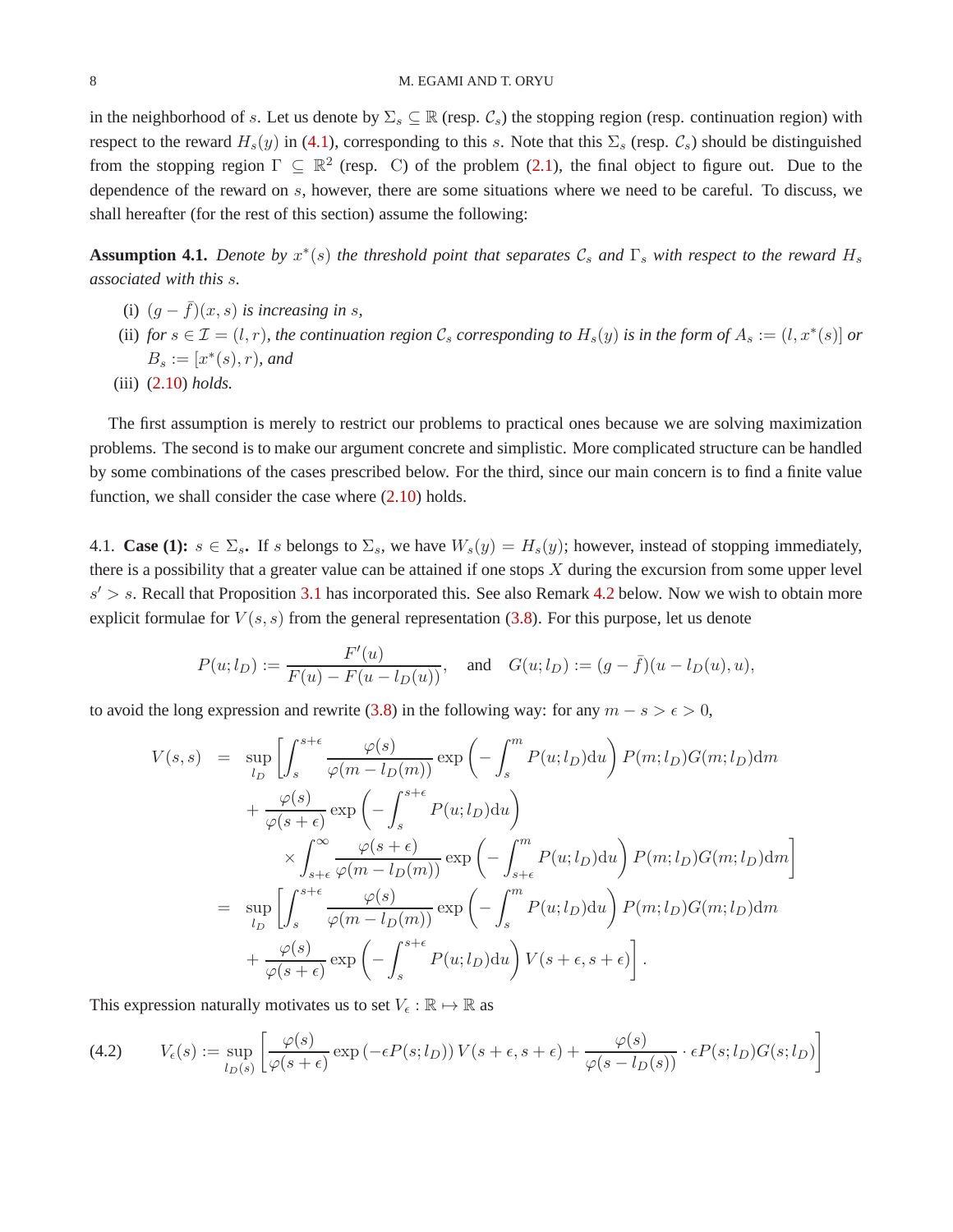in the neighborhood of s. Let us denote by  $\Sigma_s \subseteq \mathbb{R}$  (resp.  $\mathcal{C}_s$ ) the stopping region (resp. continuation region) with respect to the reward  $H_s(y)$  in [\(4.1\)](#page-6-3), corresponding to this s. Note that this  $\Sigma_s$  (resp.  $\mathcal{C}_s$ ) should be distinguished from the stopping region  $\Gamma \subseteq \mathbb{R}^2$  (resp. C) of the problem [\(2.1\)](#page-2-0), the final object to figure out. Due to the dependence of the reward on s, however, there are some situations where we need to be careful. To discuss, we shall hereafter (for the rest of this section) assume the following:

<span id="page-7-0"></span>**Assumption 4.1.** *Denote by*  $x^*(s)$  *the threshold point that separates*  $\mathcal{C}_s$  *and*  $\Gamma_s$  *with respect to the reward*  $H_s$ *associated with this* s*.*

- (i)  $(q \bar{f})(x, s)$  *is increasing in s,*
- (ii) *for*  $s \in \mathcal{I} = (l, r)$ *, the continuation region*  $\mathcal{C}_s$  *corresponding to*  $H_s(y)$  *is in the form of*  $A_s := (l, x^*(s))$  *or*  $B_s := [x^*(s), r)$ *, and*
- (iii) [\(2.10\)](#page-4-2) *holds.*

The first assumption is merely to restrict our problems to practical ones because we are solving maximization problems. The second is to make our argument concrete and simplistic. More complicated structure can be handled by some combinations of the cases prescribed below. For the third, since our main concern is to find a finite value function, we shall consider the case where  $(2.10)$  holds.

4.1. **Case (1):**  $s \in \Sigma_s$ . If s belongs to  $\Sigma_s$ , we have  $W_s(y) = H_s(y)$ ; however, instead of stopping immediately, there is a possibility that a greater value can be attained if one stops  $X$  during the excursion from some upper level  $s' > s$ . Recall that Proposition [3.1](#page-6-1) has incorporated this. See also Remark [4.2](#page-10-1) below. Now we wish to obtain more explicit formulae for  $V(s, s)$  from the general representation [\(3.8\)](#page-6-4). For this purpose, let us denote

$$
P(u; l_D) := \frac{F'(u)}{F(u) - F(u - l_D(u))}, \text{ and } G(u; l_D) := (g - \bar{f})(u - l_D(u), u),
$$

to avoid the long expression and rewrite [\(3.8\)](#page-6-4) in the following way: for any  $m - s > \epsilon > 0$ ,

$$
V(s,s) = \sup_{l_D} \left[ \int_s^{s+\epsilon} \frac{\varphi(s)}{\varphi(m-l_D(m))} \exp\left(-\int_s^m P(u; l_D) du\right) P(m; l_D) G(m; l_D) dm + \frac{\varphi(s)}{\varphi(s+\epsilon)} \exp\left(-\int_s^{s+\epsilon} P(u; l_D) du\right) \right.+ \frac{\varphi(s)}{\varphi(s+\epsilon)} \exp\left(-\int_s^{m} P(u; l_D) du\right) P(m; l_D) G(m; l_D) dm \right]= \sup_{l_D} \left[ \int_s^{s+\epsilon} \frac{\varphi(s)}{\varphi(m-l_D(m))} \exp\left(-\int_s^m P(u; l_D) du\right) P(m; l_D) G(m; l_D) dm + \frac{\varphi(s)}{\varphi(s+\epsilon)} \exp\left(-\int_s^{s+\epsilon} P(u; l_D) du\right) V(s+\epsilon, s+\epsilon) \right].
$$

This expression naturally motivates us to set  $V_{\epsilon} : \mathbb{R} \mapsto \mathbb{R}$  as

<span id="page-7-1"></span>
$$
(4.2) \qquad V_{\epsilon}(s) := \sup_{l_D(s)} \left[ \frac{\varphi(s)}{\varphi(s+\epsilon)} \exp\left(-\epsilon P(s;l_D)\right) V(s+\epsilon,s+\epsilon) + \frac{\varphi(s)}{\varphi(s-l_D(s))} \cdot \epsilon P(s;l_D) G(s;l_D) \right]
$$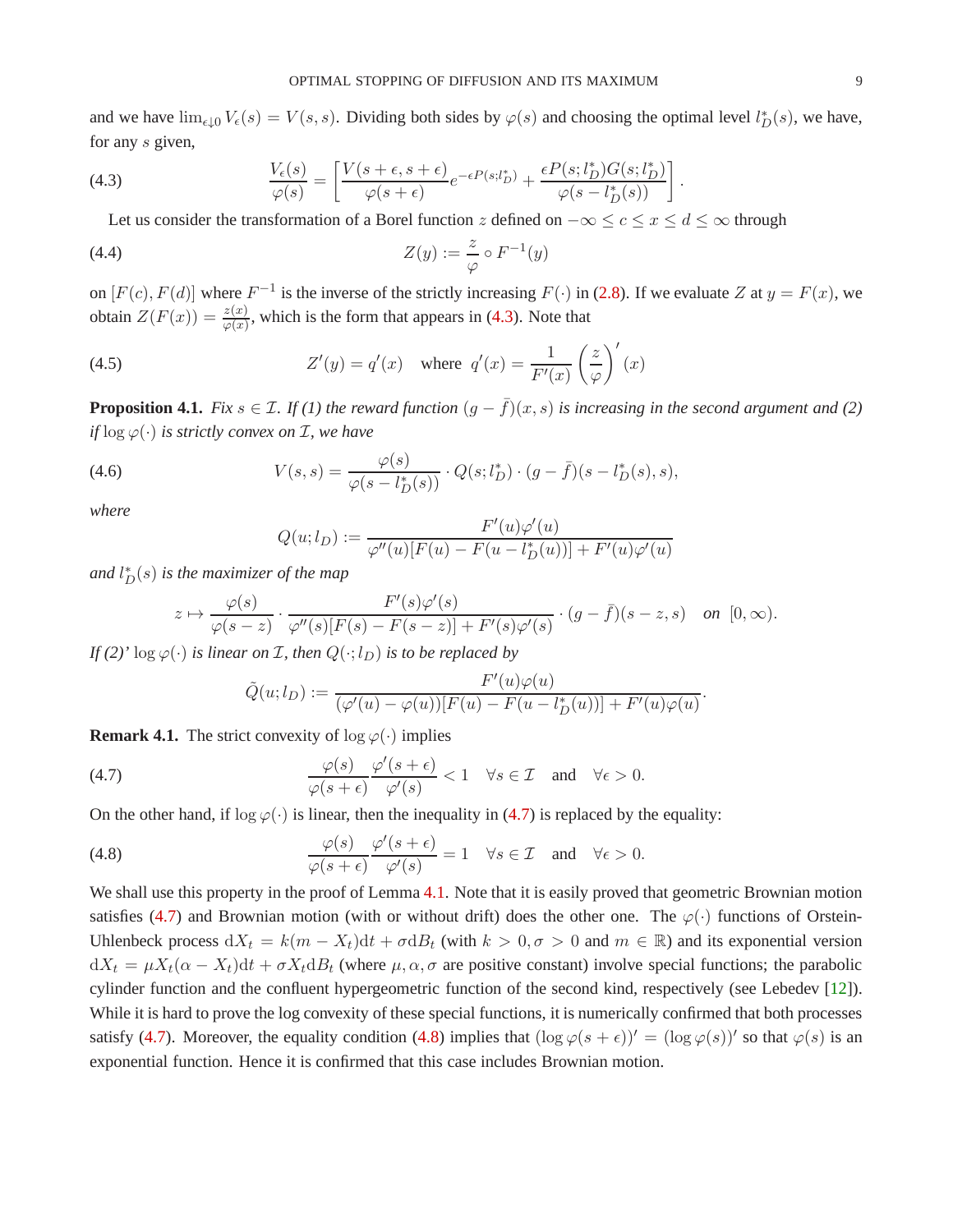and we have  $\lim_{\epsilon \downarrow 0} V_{\epsilon}(s) = V(s, s)$ . Dividing both sides by  $\varphi(s)$  and choosing the optimal level  $l_D^*(s)$ , we have, for any s given,

(4.3) 
$$
\frac{V_{\epsilon}(s)}{\varphi(s)} = \left[ \frac{V(s+\epsilon, s+\epsilon)}{\varphi(s+\epsilon)} e^{-\epsilon P(s;l_D^*)} + \frac{\epsilon P(s;l_D^*)G(s;l_D^*)}{\varphi(s-l_D^*(s))} \right].
$$

<span id="page-8-5"></span><span id="page-8-1"></span>Let us consider the transformation of a Borel function z defined on  $-\infty \le c \le x \le d \le \infty$  through

$$
(4.4) \t\t Z(y) := \frac{z}{\varphi} \circ F^{-1}(y)
$$

on  $[F(c), F(d)]$  where  $F^{-1}$  is the inverse of the strictly increasing  $F(\cdot)$  in [\(2.8\)](#page-3-3). If we evaluate Z at  $y = F(x)$ , we obtain  $Z(F(x)) = \frac{z(x)}{\varphi(x)}$ , which is the form that appears in [\(4.3\)](#page-8-1). Note that

(4.5) 
$$
Z'(y) = q'(x) \quad \text{where} \quad q'(x) = \frac{1}{F'(x)} \left(\frac{z}{\varphi}\right)'(x)
$$

<span id="page-8-0"></span>**Proposition 4.1.** *Fix*  $s \in \mathcal{I}$ *. If (1) the reward function*  $(g - \bar{f})(x, s)$  *is increasing in the second argument and (2) if*  $\log \varphi(\cdot)$  *is strictly convex on*  $\mathcal{I}$ *, we have* 

(4.6) 
$$
V(s,s) = \frac{\varphi(s)}{\varphi(s - l_D^*(s))} \cdot Q(s; l_D^*) \cdot (g - \bar{f})(s - l_D^*(s), s),
$$

*where*

<span id="page-8-6"></span><span id="page-8-4"></span>
$$
Q(u; l_D) := \frac{F'(u)\varphi'(u)}{\varphi''(u)[F(u) - F(u - l_D^*(u))] + F'(u)\varphi'(u)}
$$

and  $l_D^*(s)$  is the maximizer of the map

$$
z \mapsto \frac{\varphi(s)}{\varphi(s-z)} \cdot \frac{F'(s)\varphi'(s)}{\varphi''(s)[F(s) - F(s-z)] + F'(s)\varphi'(s)} \cdot (g - \bar{f})(s-z, s) \quad \text{on} \ \ [0, \infty).
$$

*If* (2)'  $\log \varphi(\cdot)$  *is linear on I, then*  $Q(\cdot; l_D)$  *is to be replaced by* 

<span id="page-8-3"></span><span id="page-8-2"></span>
$$
\tilde{Q}(u; l_D) := \frac{F'(u)\varphi(u)}{(\varphi'(u) - \varphi(u))[F(u) - F(u - l_D^*(u))] + F'(u)\varphi(u)}.
$$

**Remark 4.1.** The strict convexity of  $\log \varphi(\cdot)$  implies

(4.7) 
$$
\frac{\varphi(s)}{\varphi(s+\epsilon)}\frac{\varphi'(s+\epsilon)}{\varphi'(s)} < 1 \quad \forall s \in \mathcal{I} \quad \text{and} \quad \forall \epsilon > 0.
$$

On the other hand, if  $\log \varphi(\cdot)$  is linear, then the inequality in [\(4.7\)](#page-8-2) is replaced by the equality:

(4.8) 
$$
\frac{\varphi(s)}{\varphi(s+\epsilon)}\frac{\varphi'(s+\epsilon)}{\varphi'(s)} = 1 \quad \forall s \in \mathcal{I} \quad \text{and} \quad \forall \epsilon > 0.
$$

We shall use this property in the proof of Lemma [4.1.](#page-9-0) Note that it is easily proved that geometric Brownian motion satisfies [\(4.7\)](#page-8-2) and Brownian motion (with or without drift) does the other one. The  $\varphi(\cdot)$  functions of Orstein-Uhlenbeck process  $dX_t = k(m - X_t)dt + \sigma dB_t$  (with  $k > 0, \sigma > 0$  and  $m \in \mathbb{R}$ ) and its exponential version  $dX_t = \mu X_t(\alpha - X_t)dt + \sigma X_t dB_t$  (where  $\mu, \alpha, \sigma$  are positive constant) involve special functions; the parabolic cylinder function and the confluent hypergeometric function of the second kind, respectively (see Lebedev [\[12\]](#page-19-10)). While it is hard to prove the log convexity of these special functions, it is numerically confirmed that both processes satisfy [\(4.7\)](#page-8-2). Moreover, the equality condition [\(4.8\)](#page-8-3) implies that  $(\log \varphi(s+\epsilon))' = (\log \varphi(s))'$  so that  $\varphi(s)$  is an exponential function. Hence it is confirmed that this case includes Brownian motion.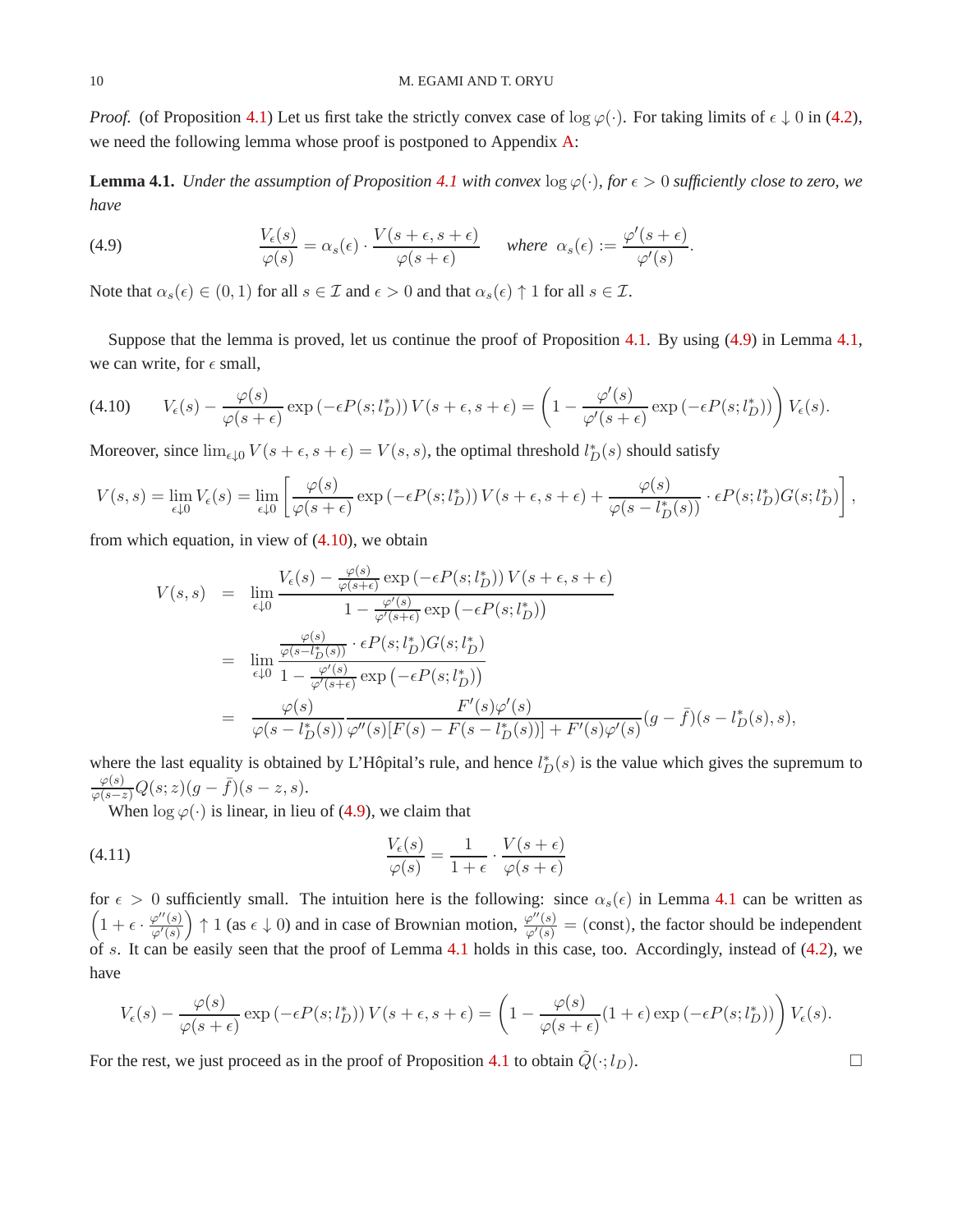*Proof.* (of Proposition [4.1\)](#page-8-0) Let us first take the strictly convex case of  $\log \varphi(\cdot)$ . For taking limits of  $\epsilon \downarrow 0$  in [\(4.2\)](#page-7-1), we need the following lemma whose proof is postponed to Appendix [A:](#page-16-0)

<span id="page-9-0"></span>**Lemma [4.1](#page-8-0).** *Under the assumption of Proposition* 4.1 *with convex*  $\log \varphi(\cdot)$ *, for*  $\epsilon > 0$  *sufficiently close to zero, we have*

<span id="page-9-1"></span>(4.9) 
$$
\frac{V_{\epsilon}(s)}{\varphi(s)} = \alpha_s(\epsilon) \cdot \frac{V(s+\epsilon,s+\epsilon)}{\varphi(s+\epsilon)} \quad \text{where } \alpha_s(\epsilon) := \frac{\varphi'(s+\epsilon)}{\varphi'(s)}.
$$

Note that  $\alpha_s(\epsilon) \in (0,1)$  for all  $s \in \mathcal{I}$  and  $\epsilon > 0$  and that  $\alpha_s(\epsilon) \uparrow 1$  for all  $s \in \mathcal{I}$ .

Suppose that the lemma is proved, let us continue the proof of Proposition [4.1.](#page-8-0) By using [\(4.9\)](#page-9-1) in Lemma [4.1,](#page-9-0) we can write, for  $\epsilon$  small,

<span id="page-9-2"></span>
$$
(4.10) \qquad V_{\epsilon}(s) - \frac{\varphi(s)}{\varphi(s+\epsilon)} \exp\left(-\epsilon P(s;l_D^*)\right) V(s+\epsilon,s+\epsilon) = \left(1 - \frac{\varphi'(s)}{\varphi'(s+\epsilon)} \exp\left(-\epsilon P(s;l_D^*)\right)\right) V_{\epsilon}(s).
$$

Moreover, since  $\lim_{\epsilon \downarrow 0} V(s + \epsilon, s + \epsilon) = V(s, s)$ , the optimal threshold  $l_D^*(s)$  should satisfy

$$
V(s,s) = \lim_{\epsilon \downarrow 0} V_{\epsilon}(s) = \lim_{\epsilon \downarrow 0} \left[ \frac{\varphi(s)}{\varphi(s+\epsilon)} \exp\left(-\epsilon P(s;l_D^*)\right) V(s+\epsilon,s+\epsilon) + \frac{\varphi(s)}{\varphi(s-l_D^*(s))} \cdot \epsilon P(s;l_D^*) G(s;l_D^*) \right],
$$

from which equation, in view of [\(4.10\)](#page-9-2), we obtain

$$
V(s,s) = \lim_{\epsilon \downarrow 0} \frac{V_{\epsilon}(s) - \frac{\varphi(s)}{\varphi(s+\epsilon)} \exp\left(-\epsilon P(s;l_D^*)\right) V(s+\epsilon,s+\epsilon)}{1 - \frac{\varphi'(s)}{\varphi'(s+\epsilon)} \exp\left(-\epsilon P(s;l_D^*)\right)}
$$
  
\n
$$
= \lim_{\epsilon \downarrow 0} \frac{\frac{\varphi(s)}{\varphi(s-l_D^*)(s))} \cdot \epsilon P(s;l_D^*) G(s;l_D^*)}{1 - \frac{\varphi'(s)}{\varphi'(s+\epsilon)} \exp\left(-\epsilon P(s;l_D^*)\right)}
$$
  
\n
$$
= \frac{\varphi(s)}{\varphi(s-l_D^*(s))} \frac{F'(s)\varphi'(s)}{F'(s) - F(s-l_D^*(s)) + F'(s)\varphi'(s)} (g-\bar{f})(s-l_D^*(s),s),
$$

where the last equality is obtained by L'Hôpital's rule, and hence  $l_D^*(s)$  is the value which gives the supremum to  $\frac{\varphi(s)}{\varphi(s-z)}Q(s;z)(g-\bar{f})(s-z,s).$ 

When  $\log \varphi(\cdot)$  is linear, in lieu of [\(4.9\)](#page-9-1), we claim that

(4.11) 
$$
\frac{V_{\epsilon}(s)}{\varphi(s)} = \frac{1}{1+\epsilon} \cdot \frac{V(s+\epsilon)}{\varphi(s+\epsilon)}
$$

for  $\epsilon > 0$  sufficiently small. The intuition here is the following: since  $\alpha_s(\epsilon)$  in Lemma [4.1](#page-9-0) can be written as  $\left(1+\epsilon\cdot\frac{\varphi''(s)}{\varphi'(s)}\right)$  $\varphi'(s)$ ) ↑ 1 (as  $\epsilon \downarrow$  0) and in case of Brownian motion,  $\frac{\varphi''(s)}{\varphi'(s)} =$  (const), the factor should be independent of s. It can be easily seen that the proof of Lemma [4.1](#page-9-0) holds in this case, too. Accordingly, instead of  $(4.2)$ , we have

$$
V_{\epsilon}(s) - \frac{\varphi(s)}{\varphi(s+\epsilon)} \exp(-\epsilon P(s; l_D^*)) V(s+\epsilon, s+\epsilon) = \left(1 - \frac{\varphi(s)}{\varphi(s+\epsilon)}(1+\epsilon) \exp(-\epsilon P(s; l_D^*))\right) V_{\epsilon}(s).
$$

For the rest, we just proceed as in the proof of Proposition [4.1](#page-8-0) to obtain  $\tilde{Q}(\cdot; l_D)$ .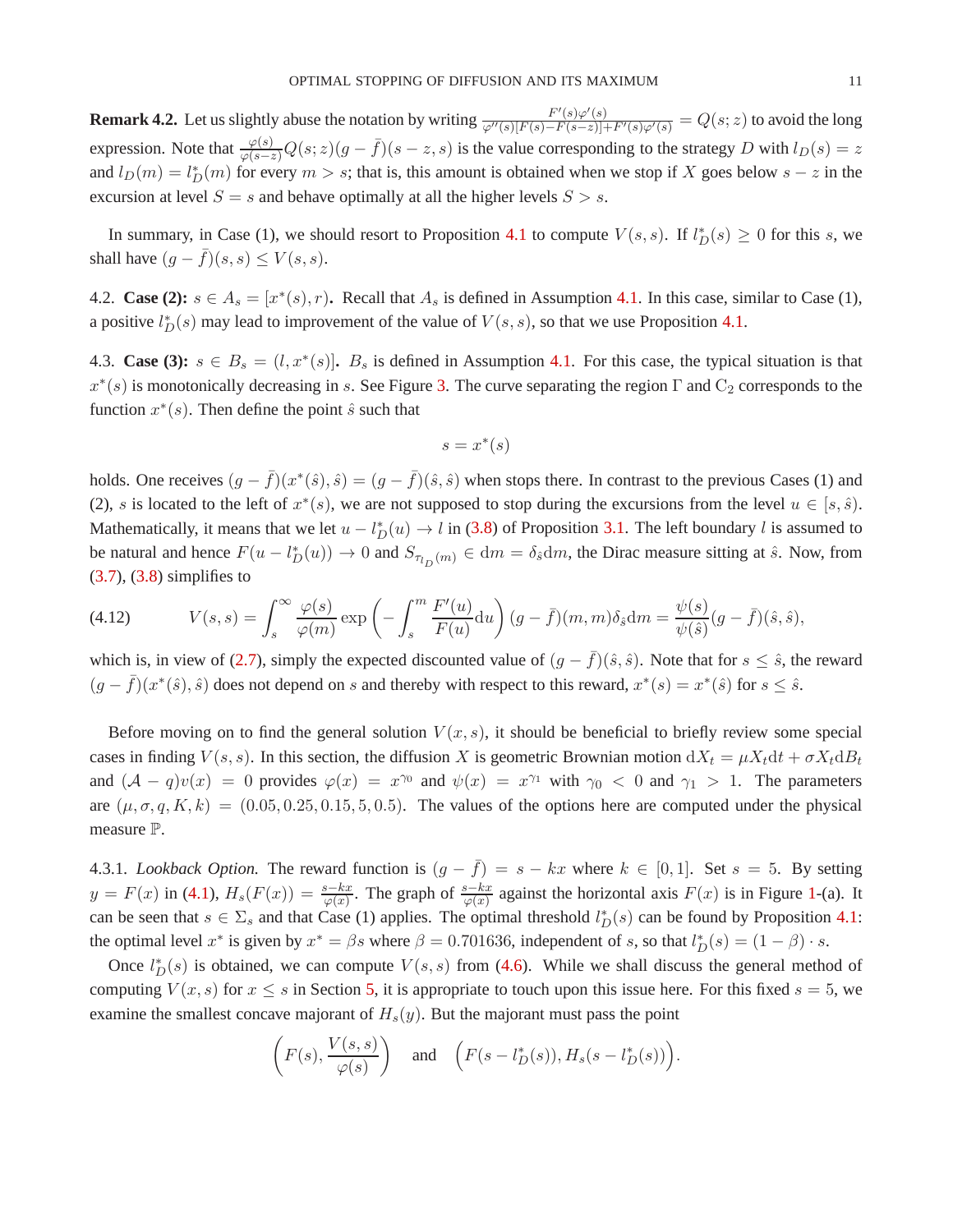<span id="page-10-1"></span>**Remark 4.2.** Let us slightly abuse the notation by writing  $\frac{F'(s)\varphi'(s)}{\varphi''(s)[F(s)-F(s-z)]+F'(s)\varphi'(s)} = Q(s; z)$  to avoid the long expression. Note that  $\frac{\varphi(s)}{\varphi(s-z)}Q(s;z)(g-\bar{f})(s-z,s)$  is the value corresponding to the strategy D with  $l_D(s)=z$ and  $l_D(m) = l_D^*(m)$  for every  $m > s$ ; that is, this amount is obtained when we stop if X goes below  $s - z$  in the excursion at level  $S = s$  and behave optimally at all the higher levels  $S > s$ .

In summary, in Case (1), we should resort to Proposition [4.1](#page-8-0) to compute  $V(s, s)$ . If  $l_D^*(s) \geq 0$  for this s, we shall have  $(q - \overline{f})(s, s) \le V(s, s)$ .

4.2. **Case (2):**  $s \in A_s = [x^*(s), r)$ . Recall that  $A_s$  is defined in Assumption [4.1.](#page-7-0) In this case, similar to Case (1), a positive  $l_D^*(s)$  may lead to improvement of the value of  $V(s, s)$ , so that we use Proposition [4.1.](#page-8-0)

4.3. **Case (3):**  $s \in B_s = (l, x^*(s))$ .  $B_s$  is defined in Assumption [4.1.](#page-7-0) For this case, the typical situation is that  $x^*(s)$  is monotonically decreasing in s. See Figure [3.](#page-14-0) The curve separating the region  $\Gamma$  and  $C_2$  corresponds to the function  $x^*(s)$ . Then define the point  $\hat{s}$  such that

$$
s = x^*(s)
$$

holds. One receives  $(g - \bar{f})(x^*(\hat{s}), \hat{s}) = (g - \bar{f})(\hat{s}, \hat{s})$  when stops there. In contrast to the previous Cases (1) and (2), s is located to the left of  $x^*(s)$ , we are not supposed to stop during the excursions from the level  $u \in [s, \hat{s})$ . Mathematically, it means that we let  $u - l_D^*(u) \to l$  in [\(3.8\)](#page-6-4) of Proposition [3.1.](#page-6-1) The left boundary l is assumed to be natural and hence  $F(u - l_D^*(u)) \to 0$  and  $S_{\pi_D(m)} \in dm = \delta_{\hat{s}} dm$ , the Dirac measure sitting at  $\hat{s}$ . Now, from  $(3.7)$ ,  $(3.8)$  simplifies to

<span id="page-10-2"></span>(4.12) 
$$
V(s,s) = \int_s^\infty \frac{\varphi(s)}{\varphi(m)} \exp\left(-\int_s^m \frac{F'(u)}{F(u)} du\right) (g - \bar{f})(m, m) \delta_{\hat{s}} dm = \frac{\psi(s)}{\psi(\hat{s})} (g - \bar{f})(\hat{s}, \hat{s}),
$$

which is, in view of [\(2.7\)](#page-3-4), simply the expected discounted value of  $(g - \bar{f})(\hat{s}, \hat{s})$ . Note that for  $s \leq \hat{s}$ , the reward  $(g - \bar{f})(x^*(\hat{s}), \hat{s})$  does not depend on s and thereby with respect to this reward,  $x^*(s) = x^*(\hat{s})$  for  $s \leq \hat{s}$ .

Before moving on to find the general solution  $V(x, s)$ , it should be beneficial to briefly review some special cases in finding  $V(s, s)$ . In this section, the diffusion X is geometric Brownian motion  $dX_t = \mu X_t dt + \sigma X_t dB_t$ and  $(A - q)v(x) = 0$  provides  $\varphi(x) = x^{\gamma_0}$  and  $\psi(x) = x^{\gamma_1}$  with  $\gamma_0 < 0$  and  $\gamma_1 > 1$ . The parameters are  $(\mu, \sigma, q, K, k) = (0.05, 0.25, 0.15, 5, 0.5)$ . The values of the options here are computed under the physical measure P.

<span id="page-10-0"></span>4.3.1. *Lookback Option.* The reward function is  $(g - \bar{f}) = s - kx$  where  $k \in [0, 1]$ . Set  $s = 5$ . By setting  $y = F(x)$  in [\(4.1\)](#page-6-3),  $H_s(F(x)) = \frac{s-kx}{\varphi(x)}$ . The graph of  $\frac{s-kx}{\varphi(x)}$  against the horizontal axis  $F(x)$  is in Figure [1-](#page-11-1)(a). It can be seen that  $s \in \Sigma_s$  and that Case (1) applies. The optimal threshold  $l_D^*(s)$  can be found by Proposition [4.1:](#page-8-0) the optimal level  $x^*$  is given by  $x^* = \beta s$  where  $\beta = 0.701636$ , independent of s, so that  $l_D^*(s) = (1 - \beta) \cdot s$ .

Once  $l_D^*(s)$  is obtained, we can compute  $V(s, s)$  from [\(4.6\)](#page-8-4). While we shall discuss the general method of computing  $V(x, s)$  for  $x \leq s$  in Section [5,](#page-12-0) it is appropriate to touch upon this issue here. For this fixed  $s = 5$ , we examine the smallest concave majorant of  $H_s(y)$ . But the majorant must pass the point

$$
\left(F(s), \frac{V(s, s)}{\varphi(s)}\right)
$$
 and  $\left(F(s - l_D^*(s)), H_s(s - l_D^*(s))\right)$ .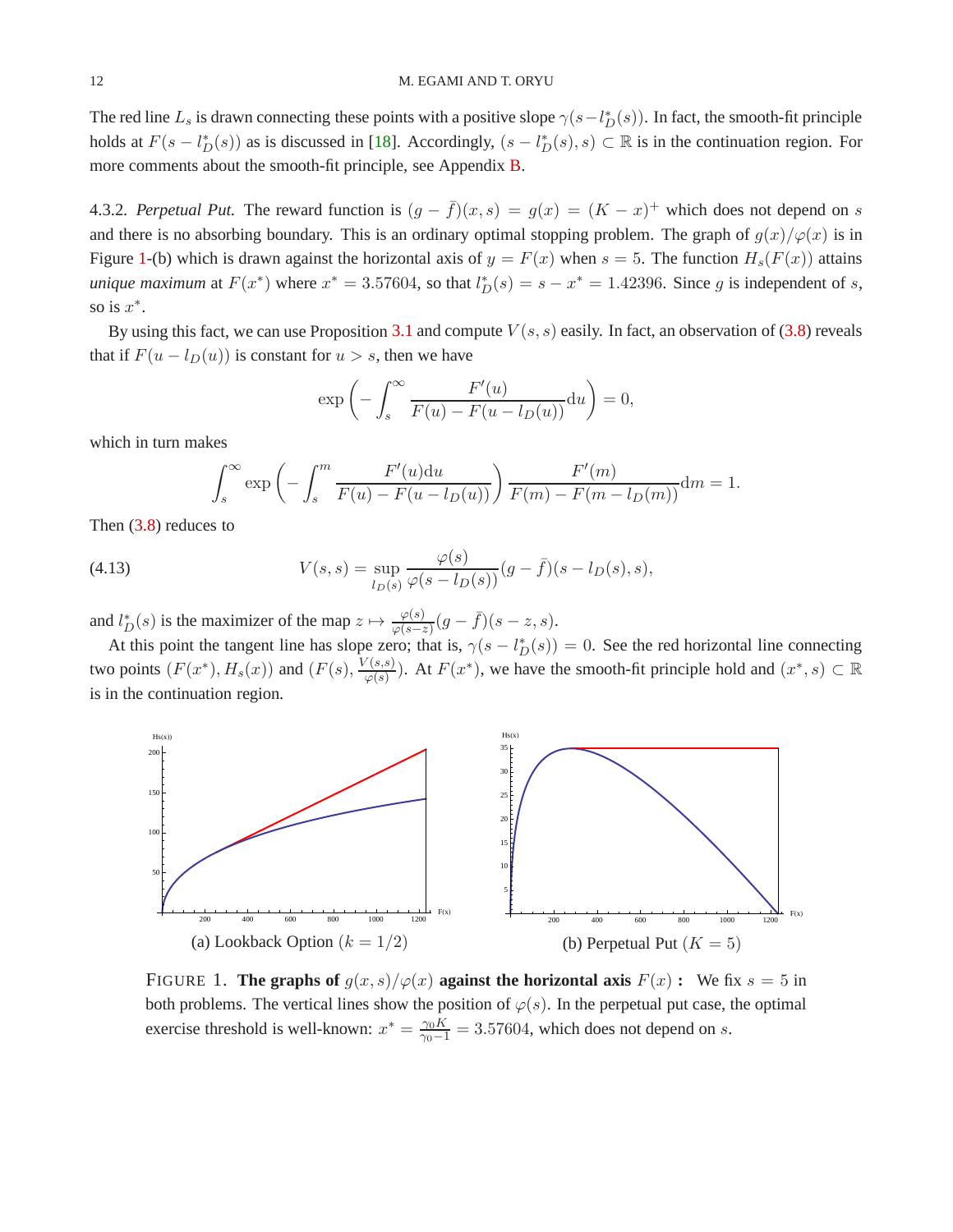The red line  $L_s$  is drawn connecting these points with a positive slope  $\gamma(s - l_D^*(s))$ . In fact, the smooth-fit principle holds at  $F(s - l_D^*(s))$  as is discussed in [\[18\]](#page-19-3). Accordingly,  $(s - l_D^*(s), s) \subset \mathbb{R}$  is in the continuation region. For more comments about the smooth-fit principle, see Appendix [B.](#page-17-0)

<span id="page-11-0"></span>4.3.2. *Perpetual Put.* The reward function is  $(g - \bar{f})(x, s) = g(x) = (K - x)^{+}$  which does not depend on s and there is no absorbing boundary. This is an ordinary optimal stopping problem. The graph of  $g(x)/\varphi(x)$  is in Figure [1-](#page-11-1)(b) which is drawn against the horizontal axis of  $y = F(x)$  when  $s = 5$ . The function  $H_s(F(x))$  attains *unique maximum* at  $F(x^*)$  where  $x^* = 3.57604$ , so that  $l_D^*(s) = s - x^* = 1.42396$ . Since g is independent of s, so is  $x^*$ .

By using this fact, we can use Proposition [3.1](#page-6-1) and compute  $V(s, s)$  easily. In fact, an observation of [\(3.8\)](#page-6-4) reveals that if  $F(u - l_D(u))$  is constant for  $u > s$ , then we have

$$
\exp\left(-\int_s^\infty \frac{F'(u)}{F(u) - F(u - l_D(u))} \mathrm{d}u\right) = 0,
$$

which in turn makes

<span id="page-11-2"></span>
$$
\int_s^{\infty} \exp\left(-\int_s^m \frac{F'(u)du}{F(u) - F(u - l_D(u))}\right) \frac{F'(m)}{F(m) - F(m - l_D(m))} dm = 1.
$$

Then [\(3.8\)](#page-6-4) reduces to

(4.13) 
$$
V(s,s) = \sup_{l_D(s)} \frac{\varphi(s)}{\varphi(s - l_D(s))} (g - \bar{f})(s - l_D(s), s),
$$

and  $l_D^*(s)$  is the maximizer of the map  $z \mapsto \frac{\varphi(s)}{\varphi(s-z)}(g-\bar{f})(s-z,s)$ .

At this point the tangent line has slope zero; that is,  $\gamma(s - l_D^*(s)) = 0$ . See the red horizontal line connecting two points  $(F(x^*), H_s(x))$  and  $(F(s), \frac{V(s,s)}{\omega(s)})$  $\frac{\gamma(s,s)}{\varphi(s)}$ ). At  $F(x^*)$ , we have the smooth-fit principle hold and  $(x^*, s) \subset \mathbb{R}$ is in the continuation region.



<span id="page-11-1"></span>FIGURE 1. **The graphs of**  $g(x, s)/\varphi(x)$  **against the horizontal axis**  $F(x)$ : We fix  $s = 5$  in both problems. The vertical lines show the position of  $\varphi(s)$ . In the perpetual put case, the optimal exercise threshold is well-known:  $x^* = \frac{\gamma_0 K}{\gamma_0 - 1} = 3.57604$ , which does not depend on s.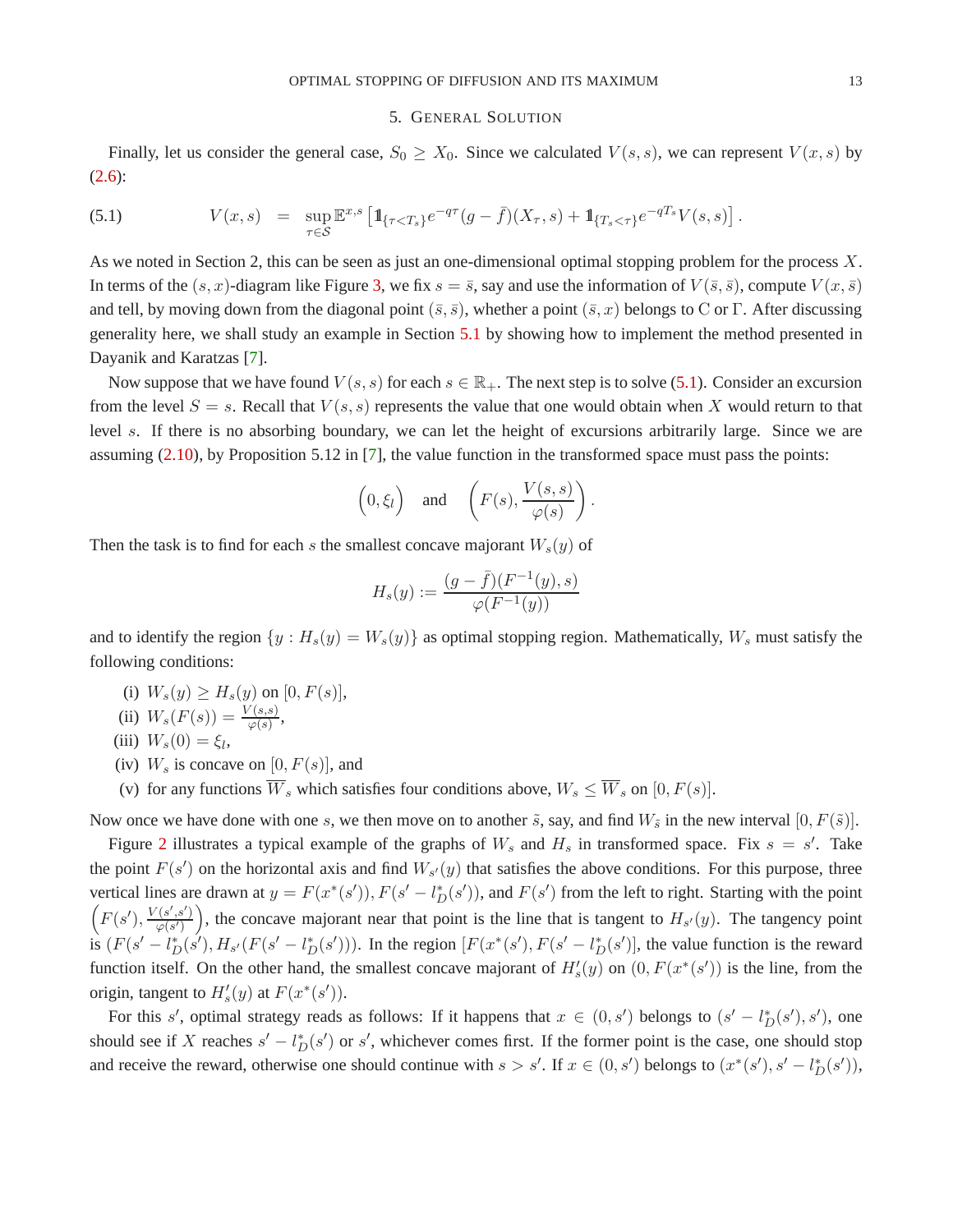#### 5. GENERAL SOLUTION

<span id="page-12-0"></span>Finally, let us consider the general case,  $S_0 \geq X_0$ . Since we calculated  $V(s, s)$ , we can represent  $V(x, s)$  by [\(2.6\)](#page-3-2):

<span id="page-12-1"></span>(5.1) 
$$
V(x,s) = \sup_{\tau \in S} \mathbb{E}^{x,s} \left[ 1\!\!1_{\{\tau < T_s\}} e^{-q\tau} (g - \bar{f})(X_\tau, s) + 1\!\!1_{\{T_s < \tau\}} e^{-q\tau_s} V(s, s) \right].
$$

As we noted in Section 2, this can be seen as just an one-dimensional optimal stopping problem for the process  $X$ . In terms of the  $(s, x)$ -diagram like Figure [3,](#page-14-0) we fix  $s = \overline{s}$ , say and use the information of  $V(\overline{s}, \overline{s})$ , compute  $V(x, \overline{s})$ and tell, by moving down from the diagonal point ( $\bar{s}$ ,  $\bar{s}$ ), whether a point ( $\bar{s}$ , x) belongs to C or Γ. After discussing generality here, we shall study an example in Section [5.1](#page-13-0) by showing how to implement the method presented in Dayanik and Karatzas [\[7\]](#page-18-3).

Now suppose that we have found  $V(s, s)$  for each  $s \in \mathbb{R}_+$ . The next step is to solve [\(5.1\)](#page-12-1). Consider an excursion from the level  $S = s$ . Recall that  $V(s, s)$  represents the value that one would obtain when X would return to that level s. If there is no absorbing boundary, we can let the height of excursions arbitrarily large. Since we are assuming [\(2.10\)](#page-4-2), by Proposition 5.12 in [\[7\]](#page-18-3), the value function in the transformed space must pass the points:

$$
\left(0, \xi_l\right)
$$
 and  $\left(F(s), \frac{V(s, s)}{\varphi(s)}\right)$ 

.

Then the task is to find for each s the smallest concave majorant  $W_s(y)$  of

$$
H_s(y) := \frac{(g - \bar{f})(F^{-1}(y), s)}{\varphi(F^{-1}(y))}
$$

and to identify the region  $\{y : H_s(y) = W_s(y)\}$  as optimal stopping region. Mathematically,  $W_s$  must satisfy the following conditions:

- (i)  $W_s(y) \geq H_s(y)$  on  $[0, F(s)],$
- (ii)  $W_s(F(s)) = \frac{V(s,s)}{\varphi(s)},$
- (iii)  $W_s(0) = \xi_l$ ,
- (iv)  $W_s$  is concave on  $[0, F(s)]$ , and
- (v) for any functions  $\overline{W}_s$  which satisfies four conditions above,  $W_s \leq \overline{W}_s$  on  $[0, F(s)]$ .

Now once we have done with one s, we then move on to another  $\tilde{s}$ , say, and find  $W_{\tilde{s}}$  in the new interval  $[0, F(\tilde{s})]$ .

Figure [2](#page-13-1) illustrates a typical example of the graphs of  $W_s$  and  $H_s$  in transformed space. Fix  $s = s'$ . Take the point  $F(s')$  on the horizontal axis and find  $W_{s'}(y)$  that satisfies the above conditions. For this purpose, three vertical lines are drawn at  $y = F(x^*(s'))$ ,  $F(s'-l_D^*(s'))$ , and  $F(s')$  from the left to right. Starting with the point  $\left( F(s'), \frac{V(s',s')}{\sqrt{S(s')}} \right)$  $\phi(s')$ ), the concave majorant near that point is the line that is tangent to  $H_{s'}(y)$ . The tangency point is  $(F(s'-l_D^*(s'), H_{s'}(F(s'-l_D^*(s'))))$ . In the region  $[F(x^*(s'), F(s'-l_D^*(s'))]$ , the value function is the reward function itself. On the other hand, the smallest concave majorant of  $H'_{s}(y)$  on  $(0, F(x^*(s'))$  is the line, from the origin, tangent to  $H'_{s}(y)$  at  $F(x^{*}(s'))$ .

For this s', optimal strategy reads as follows: If it happens that  $x \in (0, s')$  belongs to  $(s' - l_D^*(s'), s')$ , one should see if X reaches  $s' - l_D^*(s')$  or s', whichever comes first. If the former point is the case, one should stop and receive the reward, otherwise one should continue with  $s > s'$ . If  $x \in (0, s')$  belongs to  $(x^*(s'), s' - l_D^*(s'))$ ,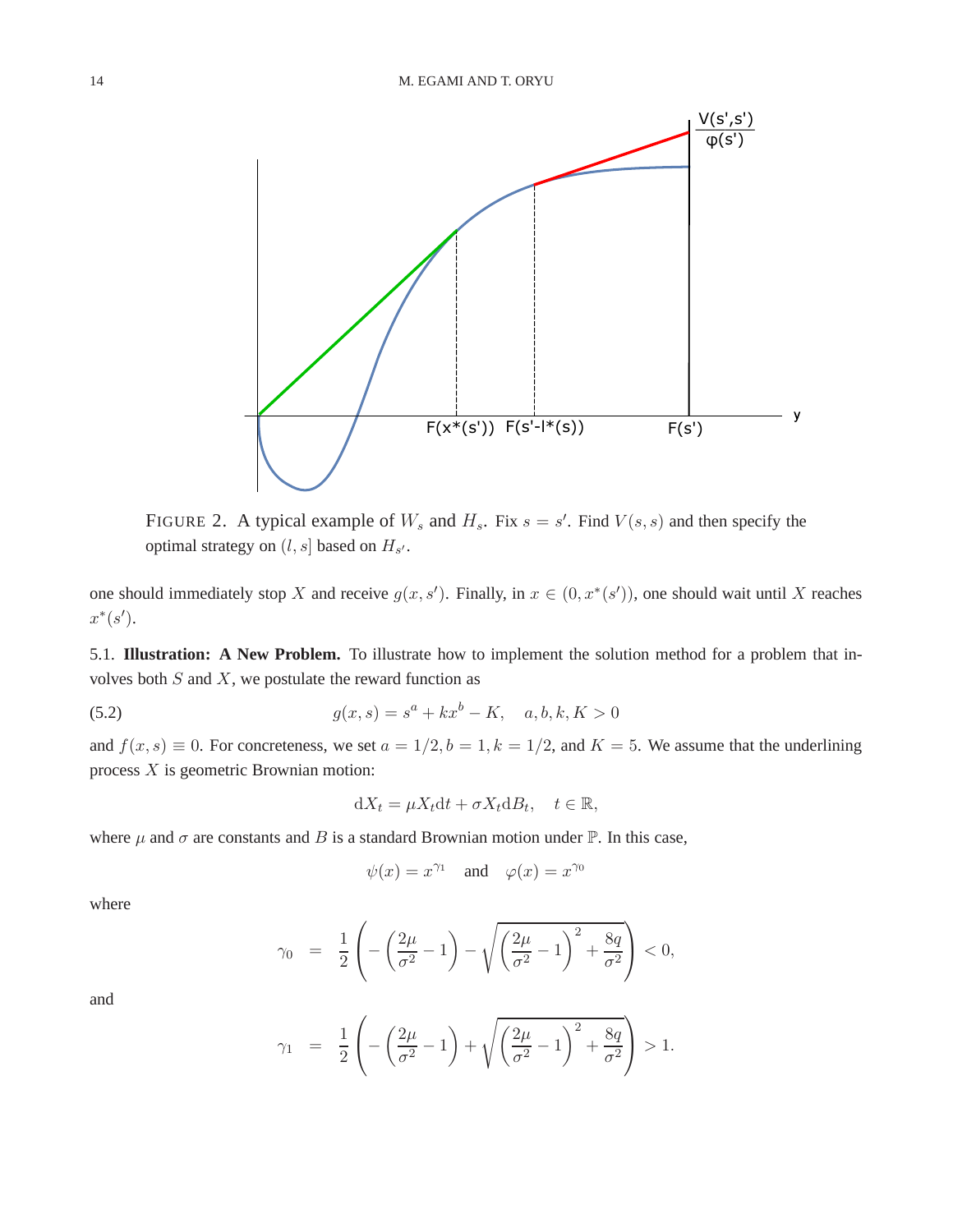

<span id="page-13-1"></span>FIGURE 2. A typical example of  $W_s$  and  $H_s$ . Fix  $s = s'$ . Find  $V(s, s)$  and then specify the optimal strategy on  $(l, s]$  based on  $H_{s'}$ .

one should immediately stop X and receive  $g(x, s')$ . Finally, in  $x \in (0, x^*(s'))$ , one should wait until X reaches  $x^*(s')$ .

<span id="page-13-0"></span>5.1. **Illustration: A New Problem.** To illustrate how to implement the solution method for a problem that involves both  $S$  and  $X$ , we postulate the reward function as

(5.2) 
$$
g(x,s) = s^a + kx^b - K, \quad a, b, k, K > 0
$$

and  $f(x, s) \equiv 0$ . For concreteness, we set  $a = 1/2, b = 1, k = 1/2$ , and  $K = 5$ . We assume that the underlining process  $X$  is geometric Brownian motion:

<span id="page-13-2"></span>
$$
dX_t = \mu X_t dt + \sigma X_t dB_t, \quad t \in \mathbb{R},
$$

where  $\mu$  and  $\sigma$  are constants and B is a standard Brownian motion under  $\mathbb{P}$ . In this case,

$$
\psi(x) = x^{\gamma_1}
$$
 and  $\varphi(x) = x^{\gamma_0}$ 

where

$$
\gamma_0 = \frac{1}{2} \left( -\left(\frac{2\mu}{\sigma^2} - 1\right) - \sqrt{\left(\frac{2\mu}{\sigma^2} - 1\right)^2 + \frac{8q}{\sigma^2}} \right) < 0,
$$

and

$$
\gamma_1 = \frac{1}{2} \left( -\left(\frac{2\mu}{\sigma^2} - 1\right) + \sqrt{\left(\frac{2\mu}{\sigma^2} - 1\right)^2 + \frac{8q}{\sigma^2}} \right) > 1.
$$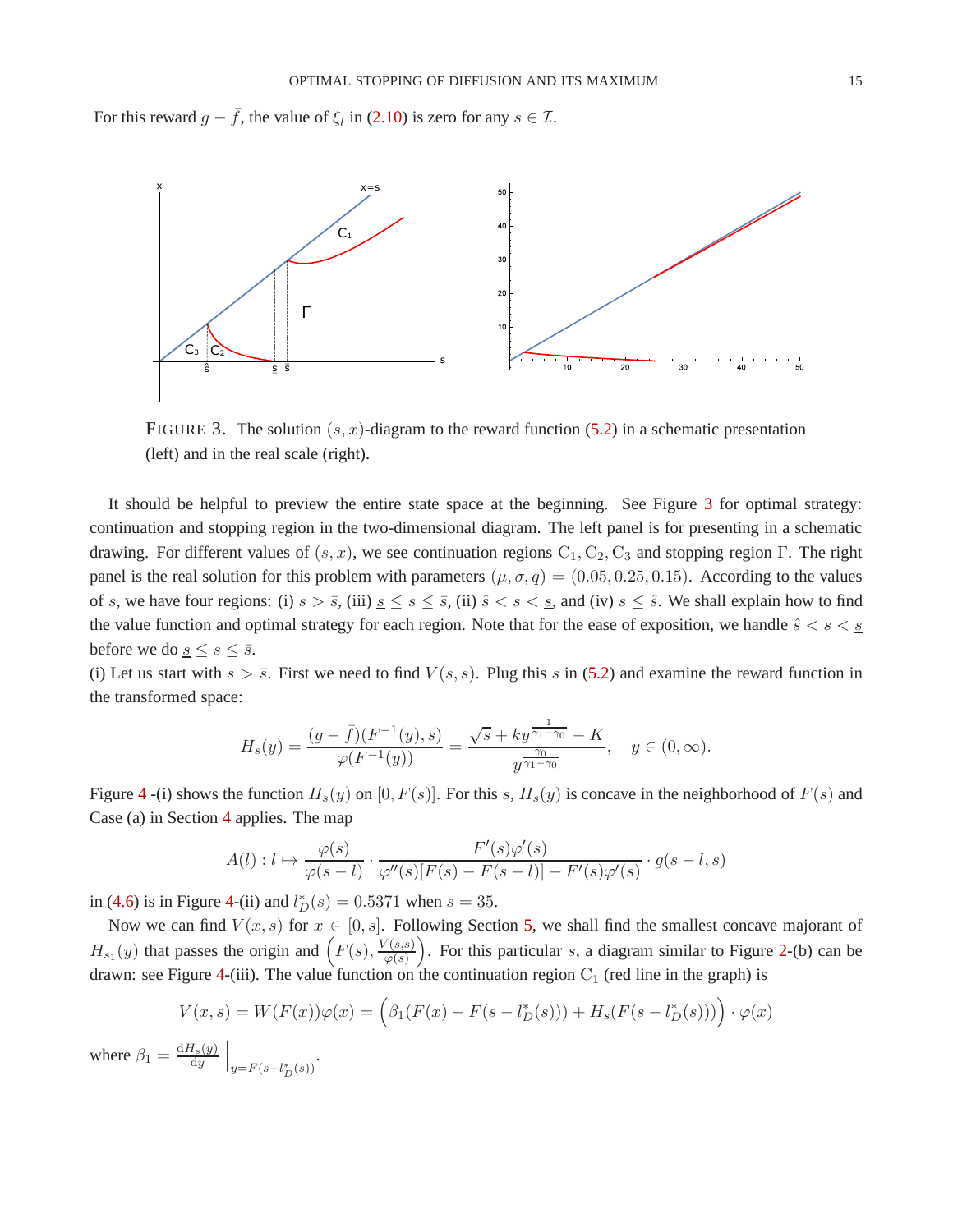For this reward  $g - \bar{f}$ , the value of  $\xi_l$  in [\(2.10\)](#page-4-2) is zero for any  $s \in \mathcal{I}$ .



<span id="page-14-0"></span>FIGURE 3. The solution  $(s, x)$ -diagram to the reward function [\(5.2\)](#page-13-2) in a schematic presentation (left) and in the real scale (right).

It should be helpful to preview the entire state space at the beginning. See Figure [3](#page-14-0) for optimal strategy: continuation and stopping region in the two-dimensional diagram. The left panel is for presenting in a schematic drawing. For different values of  $(s, x)$ , we see continuation regions  $C_1, C_2, C_3$  and stopping region Γ. The right panel is the real solution for this problem with parameters  $(\mu, \sigma, q) = (0.05, 0.25, 0.15)$ . According to the values of s, we have four regions: (i)  $s > \bar{s}$ , (iii)  $\underline{s} \leq s \leq \bar{s}$ , (ii)  $\hat{s} < s < \underline{s}$ , and (iv)  $s \leq \hat{s}$ . We shall explain how to find the value function and optimal strategy for each region. Note that for the ease of exposition, we handle  $\hat{s} < s < \underline{s}$ before we do <u>s</u>  $\leq$  s  $\leq$   $\overline{s}$ .

(i) Let us start with  $s > \overline{s}$ . First we need to find  $V(s, s)$ . Plug this s in [\(5.2\)](#page-13-2) and examine the reward function in the transformed space:

$$
H_s(y) = \frac{(g - \bar{f})(F^{-1}(y), s)}{\varphi(F^{-1}(y))} = \frac{\sqrt{s} + ky^{\frac{1}{\gamma_1 - \gamma_0}} - K}{y^{\frac{\gamma_0}{\gamma_1 - \gamma_0}}}, \quad y \in (0, \infty).
$$

Figure [4](#page-15-0) -(i) shows the function  $H_s(y)$  on [0,  $F(s)$ ]. For this s,  $H_s(y)$  is concave in the neighborhood of  $F(s)$  and Case (a) in Section [4](#page-6-0) applies. The map

$$
A(l): l \mapsto \frac{\varphi(s)}{\varphi(s-l)} \cdot \frac{F'(s)\varphi'(s)}{\varphi''(s)[F(s) - F(s-l)] + F'(s)\varphi'(s)} \cdot g(s-l, s)
$$

in [\(4.6\)](#page-8-4) is in Figure [4-](#page-15-0)(ii) and  $l_D^*(s) = 0.5371$  when  $s = 35$ .

Now we can find  $V(x, s)$  for  $x \in [0, s]$ . Following Section [5,](#page-12-0) we shall find the smallest concave majorant of  $H_{s_1}(y)$  that passes the origin and  $\left(F(s), \frac{V(s,s)}{\varphi(s)}\right)$  $\varphi(s)$ ). For this particular  $s$ , a diagram similar to Figure [2-](#page-13-1)(b) can be drawn: see Figure [4-](#page-15-0)(iii). The value function on the continuation region  $C_1$  (red line in the graph) is

$$
V(x,s) = W(F(x))\varphi(x) = \left(\beta_1(F(x) - F(s - l_D^*(s))) + H_s(F(s - l_D^*(s)))\right) \cdot \varphi(x)
$$
  

$$
\frac{dH_s(y)}{du}
$$

where  $\beta_1 = \frac{dH_s(y)}{dy}$ dy  $\bigg|_{y=F(s-l_D^*(s))}$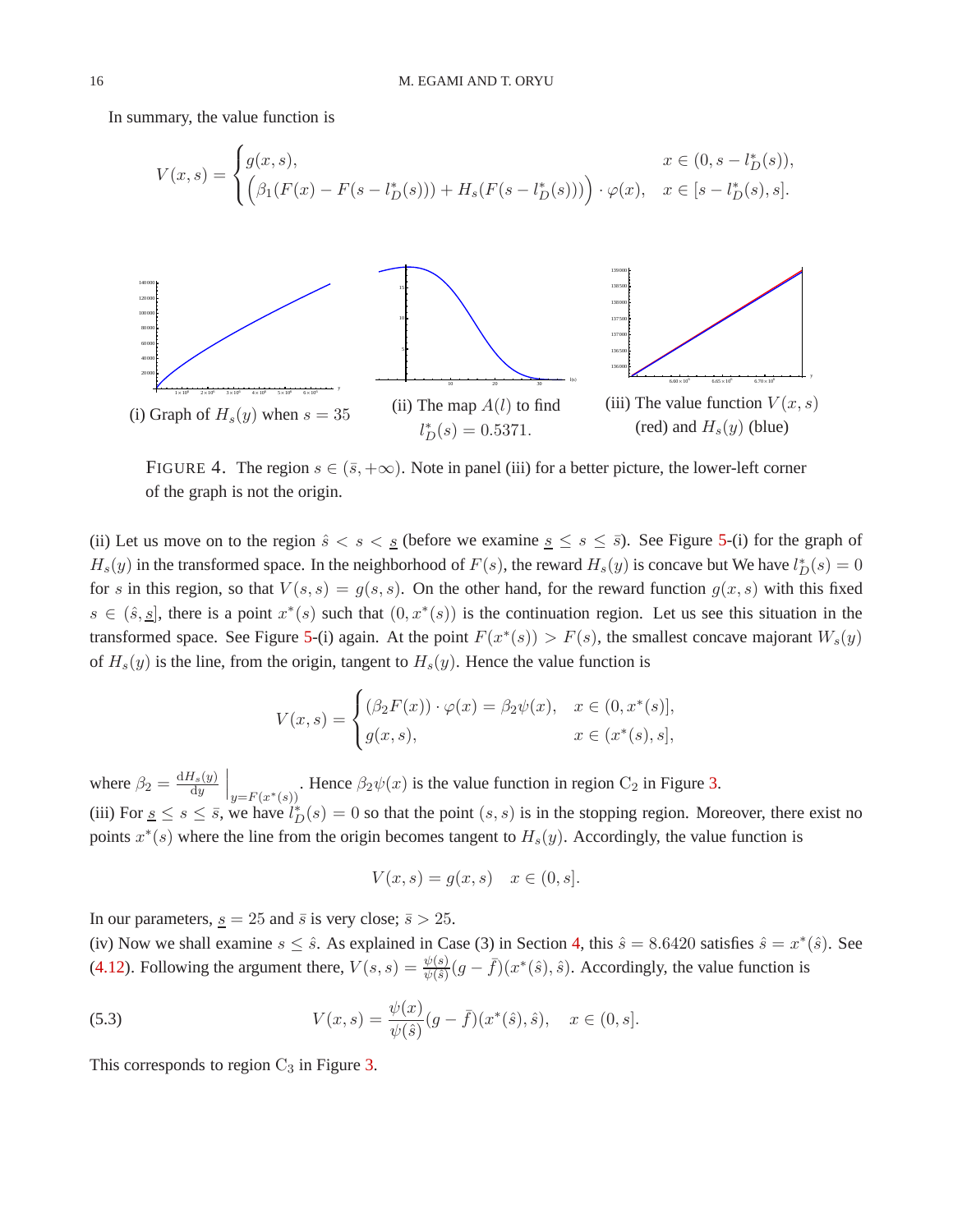In summary, the value function is



<span id="page-15-0"></span>FIGURE 4. The region  $s \in (\bar{s}, +\infty)$ . Note in panel (iii) for a better picture, the lower-left corner of the graph is not the origin.

(ii) Let us move on to the region  $\hat{s} < s < \underline{s}$  (before we examine  $\underline{s} \le s \le \overline{s}$ ). See Figure [5-](#page-16-1)(i) for the graph of  $H_s(y)$  in the transformed space. In the neighborhood of  $F(s)$ , the reward  $H_s(y)$  is concave but We have  $l_D^*(s) = 0$ for s in this region, so that  $V(s, s) = g(s, s)$ . On the other hand, for the reward function  $g(x, s)$  with this fixed  $s \in (\hat{s}, \underline{s}]$ , there is a point  $x^*(s)$  such that  $(0, x^*(s))$  is the continuation region. Let us see this situation in the transformed space. See Figure [5-](#page-16-1)(i) again. At the point  $F(x^*(s)) > F(s)$ , the smallest concave majorant  $W_s(y)$ of  $H<sub>s</sub>(y)$  is the line, from the origin, tangent to  $H<sub>s</sub>(y)$ . Hence the value function is

$$
V(x,s) = \begin{cases} (\beta_2 F(x)) \cdot \varphi(x) = \beta_2 \psi(x), & x \in (0, x^*(s)], \\ g(x,s), & x \in (x^*(s), s], \end{cases}
$$

where  $\beta_2 = \frac{dH_s(y)}{dy}$ dy  $\Big|_{y=F(x^*(s))}$ . Hence  $\beta_2\psi(x)$  is the value function in region C<sub>2</sub> in Figure [3.](#page-14-0) (iii) For  $s \leq s \leq \overline{s}$ , we have  $l_D^*(s) = 0$  so that the point  $(s, s)$  is in the stopping region. Moreover, there exist no points  $x^*(s)$  where the line from the origin becomes tangent to  $H_s(y)$ . Accordingly, the value function is

$$
V(x,s) = g(x,s) \quad x \in (0,s].
$$

In our parameters,  $s = 25$  and  $\bar{s}$  is very close;  $\bar{s} > 25$ .

(iv) Now we shall examine  $s \leq \hat{s}$ . As explained in Case (3) in Section [4,](#page-6-0) this  $\hat{s} = 8.6420$  satisfies  $\hat{s} = x^*(\hat{s})$ . See [\(4.12\)](#page-10-2). Following the argument there,  $V(s,s) = \frac{\psi(s)}{\psi(\hat{s})}(g - \bar{f})(x^*(\hat{s}), \hat{s})$ . Accordingly, the value function is

(5.3) 
$$
V(x,s) = \frac{\psi(x)}{\psi(\hat{s})}(g - \bar{f})(x^*(\hat{s}), \hat{s}), \quad x \in (0, s].
$$

This corresponds to region  $C_3$  in Figure [3.](#page-14-0)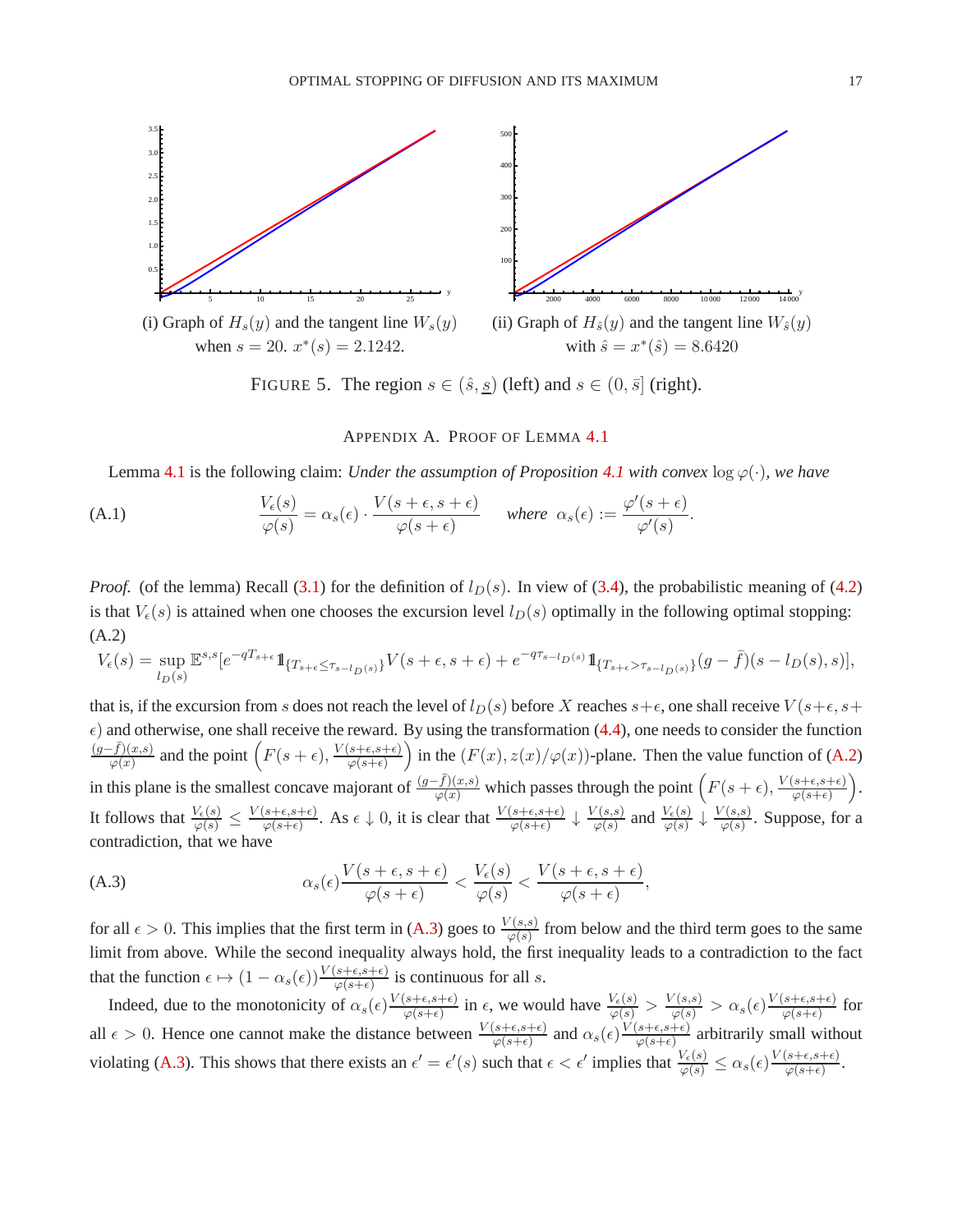

FIGURE 5. The region  $s \in (\hat{s}, \underline{s})$  (left) and  $s \in (0, \overline{s}]$  (right).

# <span id="page-16-1"></span>APPENDIX A. PROOF OF LEMMA [4.1](#page-9-0)

<span id="page-16-0"></span>Lemma [4.1](#page-8-0) is the following claim: *Under the assumption of Proposition* 4.1 with convex  $\log \varphi(\cdot)$ *, we have* 

(A.1) 
$$
\frac{V_{\epsilon}(s)}{\varphi(s)} = \alpha_s(\epsilon) \cdot \frac{V(s+\epsilon,s+\epsilon)}{\varphi(s+\epsilon)} \quad \text{where } \alpha_s(\epsilon) := \frac{\varphi'(s+\epsilon)}{\varphi'(s)}.
$$

*Proof.* (of the lemma) Recall [\(3.1\)](#page-4-3) for the definition of  $l_D(s)$ . In view of [\(3.4\)](#page-5-2), the probabilistic meaning of [\(4.2\)](#page-7-1) is that  $V_{\epsilon}(s)$  is attained when one chooses the excursion level  $l_D(s)$  optimally in the following optimal stopping: (A.2)

<span id="page-16-2"></span>
$$
V_\epsilon(s)=\sup_{l_D(s)}\mathbb{E}^{s,s}[e^{-qT_{s+\epsilon}}1\!\!1_{\{T_{s+\epsilon}\leq \tau_{s-l_D(s)}\}}V(s+\epsilon,s+\epsilon)+e^{-q\tau_{s-l_D(s)}}1\!\!1_{\{T_{s+\epsilon}>\tau_{s-l_D(s)}\}}(g-\bar f)(s-l_D(s),s)],
$$

that is, if the excursion from s does not reach the level of  $l_D(s)$  before X reaches  $s+\epsilon$ , one shall receive  $V(s+\epsilon, s+\epsilon)$  $\epsilon$ ) and otherwise, one shall receive the reward. By using the transformation [\(4.4\)](#page-8-5), one needs to consider the function  $(g-\bar{f})(x,s)$  $\frac{(\bar{f})(x,s)}{\varphi(x)}$  and the point  $\left(F(s+\epsilon), \frac{V(s+\epsilon,s+\epsilon)}{\varphi(s+\epsilon)}\right)$  $\varphi(s+\epsilon)$ in the  $(F(x), z(x)/\varphi(x))$ -plane. Then the value function of [\(A.2\)](#page-16-2) in this plane is the smallest concave majorant of  $\frac{(g-\bar{f})(x,s)}{\varphi(x)}$  which passes through the point  $(F(s+\epsilon), \frac{V(s+\epsilon,s+\epsilon)}{\varphi(s+\epsilon)})$  $\varphi(s+\epsilon)$  . It follows that  $\frac{V_{\epsilon}(s)}{\varphi(s)} \leq \frac{V(s+\epsilon, s+\epsilon)}{\varphi(s+\epsilon)}$  $\frac{(s+\epsilon,s+\epsilon)}{\varphi(s+\epsilon)}$ . As  $\epsilon \downarrow 0$ , it is clear that  $\frac{V(s+\epsilon,s+\epsilon)}{\varphi(s+\epsilon)} \downarrow \frac{V(s,s)}{\varphi(s)}$  $\frac{V(s,s)}{\varphi(s)}$  and  $\frac{V_{\epsilon}(s)}{\varphi(s)} \downarrow \frac{V(s,s)}{\varphi(s)}$  $\frac{\sqrt{(s,s)}}{\varphi(s)}$ . Suppose, for a contradiction, that we have

<span id="page-16-3"></span>(A.3) 
$$
\alpha_s(\epsilon) \frac{V(s+\epsilon, s+\epsilon)}{\varphi(s+\epsilon)} < \frac{V_{\epsilon}(s)}{\varphi(s)} < \frac{V(s+\epsilon, s+\epsilon)}{\varphi(s+\epsilon)},
$$

for all  $\epsilon > 0$ . This implies that the first term in [\(A.3\)](#page-16-3) goes to  $\frac{V(s,s)}{\varphi(s)}$  from below and the third term goes to the same limit from above. While the second inequality always hold, the first inequality leads to a contradiction to the fact that the function  $\epsilon \mapsto (1 - \alpha_s(\epsilon)) \frac{V(s+\epsilon, s+\epsilon)}{\varphi(s+\epsilon)}$  is continuous for all s.

Indeed, due to the monotonicity of  $\alpha_s(\epsilon) \frac{V(s+\epsilon,s+\epsilon)}{\omega(s+\epsilon)}$  $\frac{(s+\epsilon,s+\epsilon)}{\varphi(s+\epsilon)}$  in  $\epsilon$ , we would have  $\frac{V_{\epsilon}(s)}{\varphi(s)} > \frac{V(s,s)}{\varphi(s)} > \alpha_s(\epsilon) \frac{V(s+\epsilon,s+\epsilon)}{\varphi(s+\epsilon)}$  $\frac{s+\epsilon, s+\epsilon)}{\varphi(s+\epsilon)}$  for all  $\epsilon > 0$ . Hence one cannot make the distance between  $\frac{V(s+\epsilon,s+\epsilon)}{\varphi(s+\epsilon)}$  and  $\alpha_s(\epsilon) \frac{V(s+\epsilon,s+\epsilon)}{\varphi(s+\epsilon)}$  $\frac{s+\epsilon, s+\epsilon}{\varphi(s+\epsilon)}$  arbitrarily small without violating [\(A.3\)](#page-16-3). This shows that there exists an  $\epsilon' = \epsilon'(s)$  such that  $\epsilon < \epsilon'$  implies that  $\frac{V_{\epsilon}(s)}{\varphi(s)} \leq \alpha_s(\epsilon) \frac{V(s+\epsilon, s+\epsilon)}{\varphi(s+\epsilon)}$  $\frac{s+\epsilon,s+\epsilon)}{\varphi(s+\epsilon)}$ .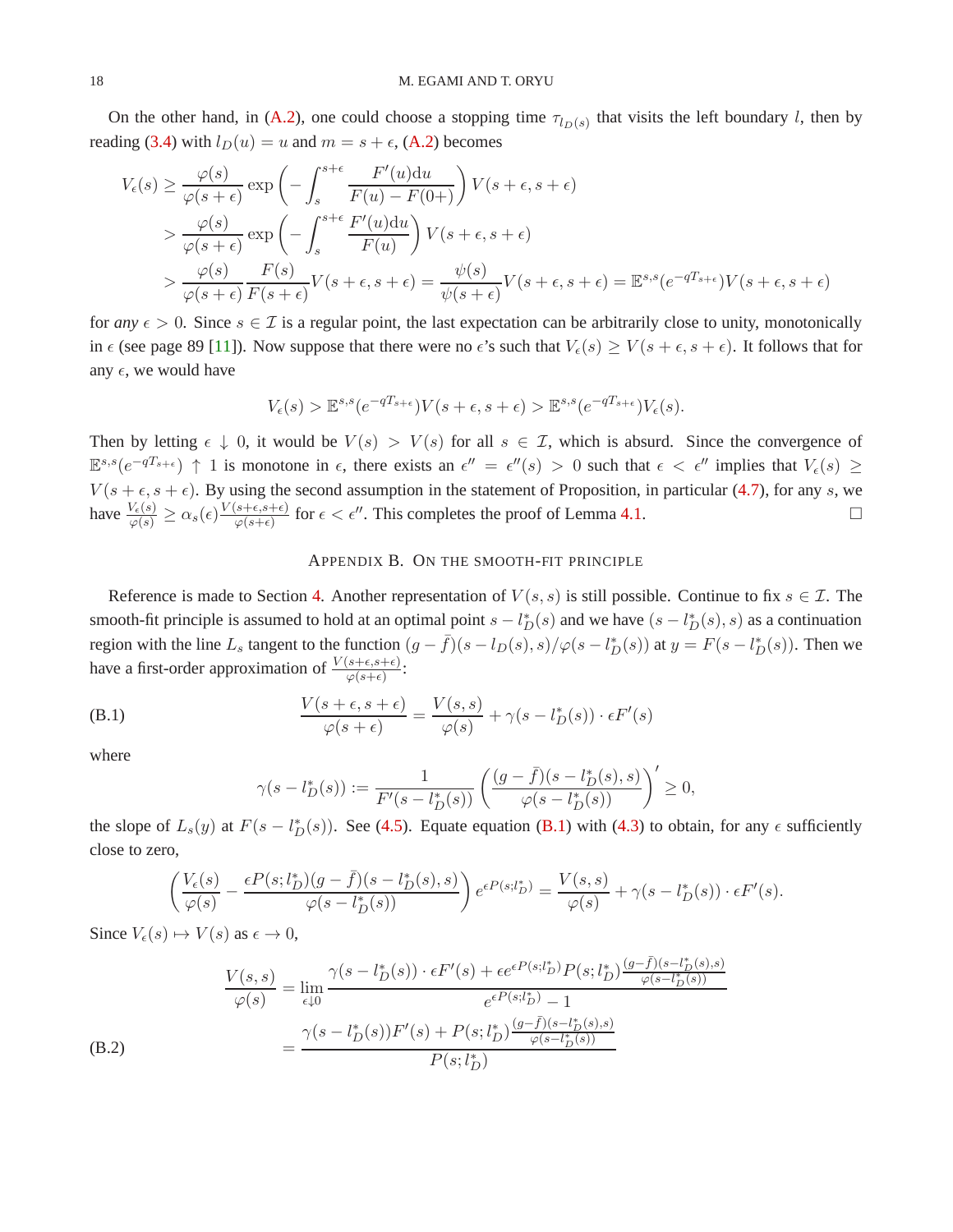On the other hand, in [\(A.2\)](#page-16-2), one could choose a stopping time  $\tau_{l_D(s)}$  that visits the left boundary l, then by reading [\(3.4\)](#page-5-2) with  $l_D(u) = u$  and  $m = s + \epsilon$ , [\(A.2\)](#page-16-2) becomes

$$
V_{\epsilon}(s) \geq \frac{\varphi(s)}{\varphi(s+\epsilon)} \exp\left(-\int_{s}^{s+\epsilon} \frac{F'(u)du}{F(u)-F(0+)}\right) V(s+\epsilon, s+\epsilon)
$$
  
> 
$$
\frac{\varphi(s)}{\varphi(s+\epsilon)} \exp\left(-\int_{s}^{s+\epsilon} \frac{F'(u)du}{F(u)}\right) V(s+\epsilon, s+\epsilon)
$$
  
> 
$$
\frac{\varphi(s)}{\varphi(s+\epsilon)} \frac{F(s)}{F(s+\epsilon)} V(s+\epsilon, s+\epsilon) = \frac{\psi(s)}{\psi(s+\epsilon)} V(s+\epsilon, s+\epsilon) = \mathbb{E}^{s,s}(e^{-qT_{s+\epsilon}}) V(s+\epsilon, s+\epsilon)
$$

for *any*  $\epsilon > 0$ . Since  $s \in \mathcal{I}$  is a regular point, the last expectation can be arbitrarily close to unity, monotonically in  $\epsilon$  (see page 89 [\[11\]](#page-19-9)). Now suppose that there were no  $\epsilon$ 's such that  $V_{\epsilon}(s) \ge V(s + \epsilon, s + \epsilon)$ . It follows that for any  $\epsilon$ , we would have

$$
V_{\epsilon}(s) > \mathbb{E}^{s,s}(e^{-qT_{s+\epsilon}})V(s+\epsilon, s+\epsilon) > \mathbb{E}^{s,s}(e^{-qT_{s+\epsilon}})V_{\epsilon}(s).
$$

Then by letting  $\epsilon \downarrow 0$ , it would be  $V(s) > V(s)$  for all  $s \in \mathcal{I}$ , which is absurd. Since the convergence of  $\mathbb{E}^{s,s}(e^{-qT_{s+\epsilon}}) \uparrow 1$  is monotone in  $\epsilon$ , there exists an  $\epsilon'' = \epsilon''(s) > 0$  such that  $\epsilon < \epsilon''$  implies that  $V_{\epsilon}(s) \geq$  $V(s + \epsilon, s + \epsilon)$ . By using the second assumption in the statement of Proposition, in particular [\(4.7\)](#page-8-2), for any s, we have  $\frac{V_{\epsilon}(s)}{\varphi(s)} \ge \alpha_s(\epsilon) \frac{V(s+\epsilon, s+\epsilon)}{\varphi(s+\epsilon)}$  $\frac{(s+\epsilon,s+\epsilon)}{\varphi(s+\epsilon)}$  for  $\epsilon < \epsilon''$ . This completes the proof of Lemma [4.1.](#page-9-0)

### APPENDIX B. ON THE SMOOTH-FIT PRINCIPLE

<span id="page-17-0"></span>Reference is made to Section [4.](#page-6-0) Another representation of  $V(s, s)$  is still possible. Continue to fix  $s \in \mathcal{I}$ . The smooth-fit principle is assumed to hold at an optimal point  $s - l_D^*(s)$  and we have  $(s - l_D^*(s), s)$  as a continuation region with the line  $L_s$  tangent to the function  $(g - \bar{f})(s - l_D(s), s)/\varphi(s - l_D^*(s))$  at  $y = F(s - l_D^*(s))$ . Then we have a first-order approximation of  $\frac{V(s+\epsilon,s+\epsilon)}{\varphi(s+\epsilon)}$ :

(B.1) 
$$
\frac{V(s+\epsilon, s+\epsilon)}{\varphi(s+\epsilon)} = \frac{V(s,s)}{\varphi(s)} + \gamma(s - l_D^*(s)) \cdot \epsilon F'(s)
$$

where

<span id="page-17-2"></span>(B.2)

<span id="page-17-1"></span>
$$
\gamma(s - l_D^*(s)) := \frac{1}{F'(s - l_D^*(s))} \left( \frac{(g - \bar{f})(s - l_D^*(s), s)}{\varphi(s - l_D^*(s))} \right)' \ge 0,
$$

the slope of  $L_s(y)$  at  $F(s - l_D^*(s))$ . See [\(4.5\)](#page-8-6). Equate equation [\(B.1\)](#page-17-1) with [\(4.3\)](#page-8-1) to obtain, for any  $\epsilon$  sufficiently close to zero,

$$
\left(\frac{V_{\epsilon}(s)}{\varphi(s)}-\frac{\epsilon P(s;l_D^*)(g-\bar{f})(s-l_D^*(s),s)}{\varphi(s-l_D^*(s))}\right)e^{\epsilon P(s;l_D^*)}=\frac{V(s,s)}{\varphi(s)}+\gamma(s-l_D^*(s))\cdot \epsilon F'(s).
$$

Since  $V_{\epsilon}(s) \mapsto V(s)$  as  $\epsilon \to 0$ ,

$$
\frac{V(s,s)}{\varphi(s)} = \lim_{\epsilon \downarrow 0} \frac{\gamma(s - l_D^*(s)) \cdot \epsilon F'(s) + \epsilon e^{\epsilon P(s; l_D^*)} P(s; l_D^*) \frac{(g - \bar{f})(s - l_D^*(s), s)}{\varphi(s - l_D^*(s))}}{e^{\epsilon P(s; l_D^*)} - 1}
$$
\n
$$
= \frac{\gamma(s - l_D^*(s))F'(s) + P(s; l_D^*) \frac{(g - \bar{f})(s - l_D^*(s), s)}{\varphi(s - l_D^*(s))}}{P(s; l_D^*)}
$$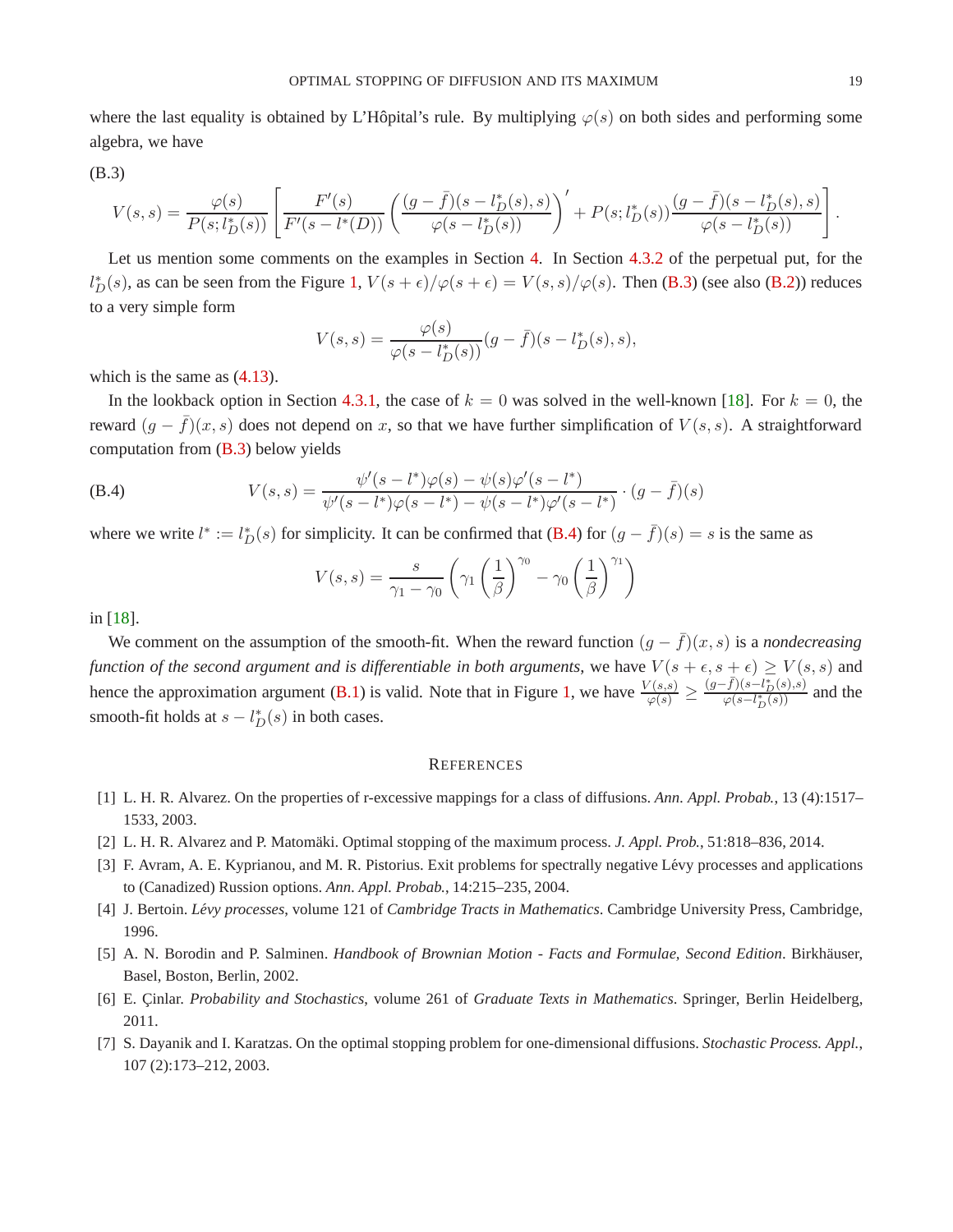where the last equality is obtained by L'Hôpital's rule. By multiplying  $\varphi(s)$  on both sides and performing some algebra, we have

<span id="page-18-7"></span>
$$
(B.3)
$$

$$
V(s,s) = \frac{\varphi(s)}{P(s;l_D^*(s))} \left[ \frac{F'(s)}{F'(s-l^*(D))} \left( \frac{(g-\bar{f})(s-l_D^*(s),s)}{\varphi(s-l_D^*(s))} \right)' + P(s;l_D^*(s)) \frac{(g-\bar{f})(s-l_D^*(s),s)}{\varphi(s-l_D^*(s))} \right].
$$

Let us mention some comments on the examples in Section [4.](#page-6-0) In Section [4.3.2](#page-11-0) of the perpetual put, for the  $l_D^*(s)$ , as can be seen from the Figure [1,](#page-11-1)  $V(s+\epsilon)/\varphi(s+\epsilon) = V(s,s)/\varphi(s)$ . Then [\(B.3\)](#page-18-7) (see also [\(B.2\)](#page-17-2)) reduces to a very simple form

$$
V(s,s) = \frac{\varphi(s)}{\varphi(s - l_D^*(s))} (g - \bar{f})(s - l_D^*(s), s),
$$

which is the same as  $(4.13)$ .

In the lookback option in Section [4.3.1,](#page-10-0) the case of  $k = 0$  was solved in the well-known [\[18\]](#page-19-3). For  $k = 0$ , the reward  $(g - \bar{f})(x, s)$  does not depend on x, so that we have further simplification of  $V(s, s)$ . A straightforward computation from [\(B.3\)](#page-18-7) below yields

<span id="page-18-8"></span>(B.4) 
$$
V(s,s) = \frac{\psi'(s - l^*)\varphi(s) - \psi(s)\varphi'(s - l^*)}{\psi'(s - l^*)\varphi(s - l^*) - \psi(s - l^*)\varphi'(s - l^*)} \cdot (g - \bar{f})(s)
$$

where we write  $l^* := l_D^*(s)$  for simplicity. It can be confirmed that [\(B.4\)](#page-18-8) for  $(g - \bar{f})(s) = s$  is the same as

$$
V(s,s) = \frac{s}{\gamma_1 - \gamma_0} \left( \gamma_1 \left( \frac{1}{\beta} \right)^{\gamma_0} - \gamma_0 \left( \frac{1}{\beta} \right)^{\gamma_1} \right)
$$

in [\[18\]](#page-19-3).

We comment on the assumption of the smooth-fit. When the reward function  $(g - \bar{f})(x, s)$  is a *nondecreasing function of the second argument and is differentiable in both arguments*, we have  $V(s + \epsilon, s + \epsilon) \ge V(s, s)$  and hence the approximation argument [\(B.1\)](#page-17-1) is valid. Note that in Figure [1,](#page-11-1) we have  $\frac{V(s,s)}{\varphi(s)} \geq$  $\frac{(g-\bar{f})(s-l_D^*(s),s)}{\varphi(s-l_D^*(s))}$  and the smooth-fit holds at  $s - l_D^*(s)$  in both cases.

### **REFERENCES**

- <span id="page-18-2"></span><span id="page-18-0"></span>[1] L. H. R. Alvarez. On the properties of r-excessive mappings for a class of diffusions. *Ann. Appl. Probab.*, 13 (4):1517– 1533, 2003.
- <span id="page-18-4"></span>[2] L. H. R. Alvarez and P. Matomäki. Optimal stopping of the maximum process. *J. Appl. Prob.*, 51:818–836, 2014.
- <span id="page-18-1"></span>[3] F. Avram, A. E. Kyprianou, and M. R. Pistorius. Exit problems for spectrally negative Lévy processes and applications to (Canadized) Russion options. *Ann. Appl. Probab.*, 14:215–235, 2004.
- <span id="page-18-5"></span>[4] J. Bertoin. *Levy processes ´* , volume 121 of *Cambridge Tracts in Mathematics*. Cambridge University Press, Cambridge, 1996.
- <span id="page-18-6"></span>[5] A. N. Borodin and P. Salminen. *Handbook of Brownian Motion - Facts and Formulae, Second Edition*. Birkhäuser, Basel, Boston, Berlin, 2002.
- <span id="page-18-3"></span>[6] E. Cinlar. *Probability and Stochastics*, volume 261 of *Graduate Texts in Mathematics*. Springer, Berlin Heidelberg, 2011.
- [7] S. Dayanik and I. Karatzas. On the optimal stopping problem for one-dimensional diffusions. *Stochastic Process. Appl.*, 107 (2):173–212, 2003.